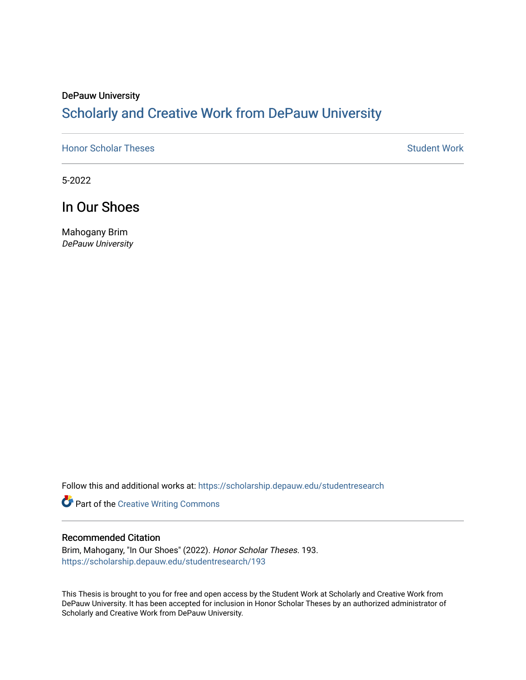# DePauw University Scholarly and [Creative Work from DePauw Univ](https://scholarship.depauw.edu/)ersity

**[Honor Scholar Theses](https://scholarship.depauw.edu/studentresearch) [Student Work](https://scholarship.depauw.edu/studentwork) Student Work Student Work** 

5-2022

In Our Shoes

Mahogany Brim DePauw University

Follow this and additional works at: [https://scholarship.depauw.edu/studentresearch](https://scholarship.depauw.edu/studentresearch?utm_source=scholarship.depauw.edu%2Fstudentresearch%2F193&utm_medium=PDF&utm_campaign=PDFCoverPages)

Part of the [Creative Writing Commons](https://network.bepress.com/hgg/discipline/574?utm_source=scholarship.depauw.edu%2Fstudentresearch%2F193&utm_medium=PDF&utm_campaign=PDFCoverPages) 

### Recommended Citation

Brim, Mahogany, "In Our Shoes" (2022). Honor Scholar Theses. 193. [https://scholarship.depauw.edu/studentresearch/193](https://scholarship.depauw.edu/studentresearch/193?utm_source=scholarship.depauw.edu%2Fstudentresearch%2F193&utm_medium=PDF&utm_campaign=PDFCoverPages)

This Thesis is brought to you for free and open access by the Student Work at Scholarly and Creative Work from DePauw University. It has been accepted for inclusion in Honor Scholar Theses by an authorized administrator of Scholarly and Creative Work from DePauw University.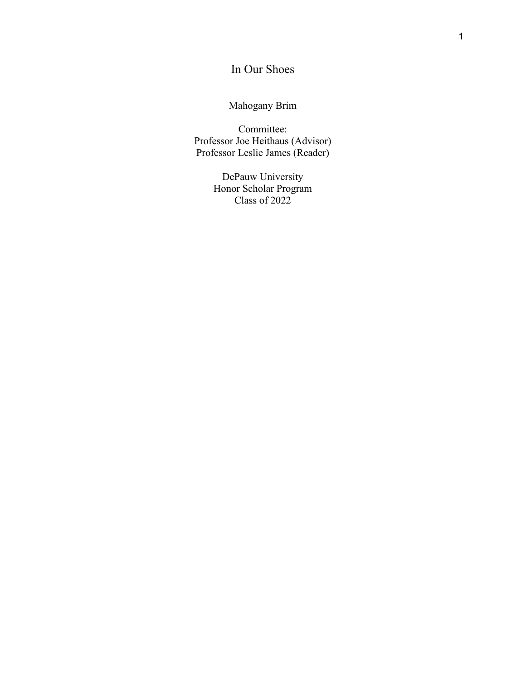# In Our Shoes

Mahogany Brim

Committee: Professor Joe Heithaus (Advisor) Professor Leslie James (Reader)

> DePauw University Honor Scholar Program Class of 2022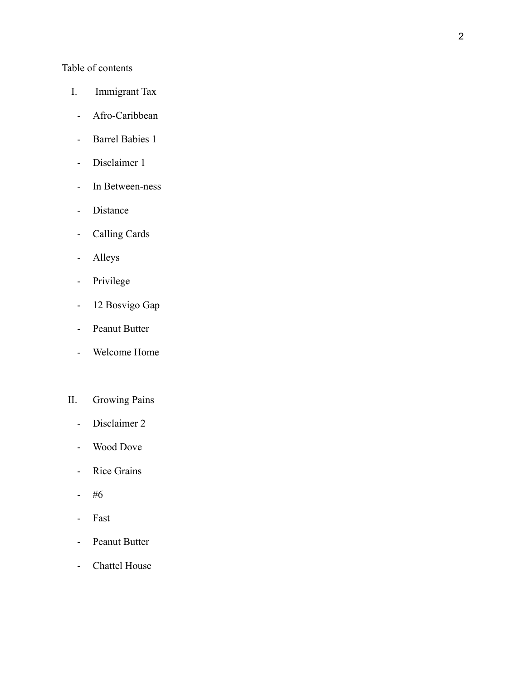# Table of contents

- I. Immigrant Tax
- Afro-Caribbean
- Barrel Babies 1
- Disclaimer 1
- In Between-ness
- Distance
- Calling Cards
- Alleys
- Privilege
- 12 Bosvigo Gap
- Peanut Butter
- Welcome Home

# II. Growing Pains

- Disclaimer 2
- Wood Dove
- Rice Grains
- #6
- Fast
- Peanut Butter
- Chattel House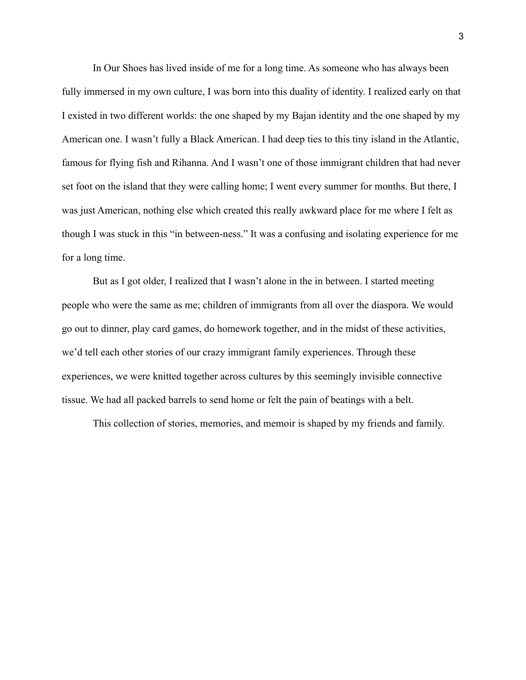In Our Shoes has lived inside of me for a long time. As someone who has always been fully immersed in my own culture, I was born into this duality of identity. I realized early on that I existed in two different worlds: the one shaped by my Bajan identity and the one shaped by my American one. I wasn't fully a Black American. I had deep ties to this tiny island in the Atlantic, famous for flying fish and Rihanna. And I wasn't one of those immigrant children that had never set foot on the island that they were calling home; I went every summer for months. But there, I was just American, nothing else which created this really awkward place for me where I felt as though I was stuck in this "in between-ness." It was a confusing and isolating experience for me for a long time.

But as I got older, I realized that I wasn't alone in the in between. I started meeting people who were the same as me; children of immigrants from all over the diaspora. We would go out to dinner, play card games, do homework together, and in the midst of these activities, we'd tell each other stories of our crazy immigrant family experiences. Through these experiences, we were knitted together across cultures by this seemingly invisible connective tissue. We had all packed barrels to send home or felt the pain of beatings with a belt.

This collection of stories, memories, and memoir is shaped by my friends and family.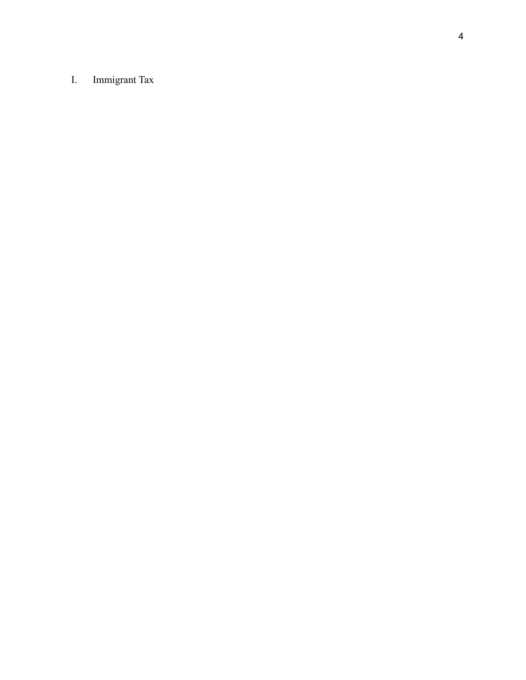#### I. Immigrant Tax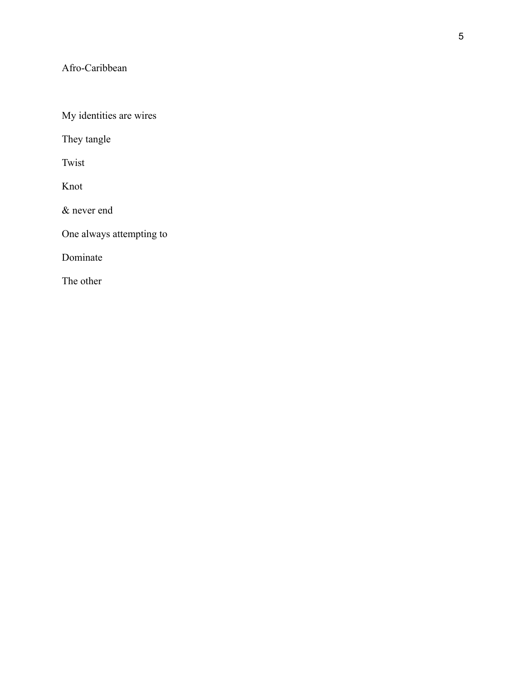# Afro-Caribbean

My identities are wires

They tangle

Twist

Knot

& never end

One always attempting to

Dominate

The other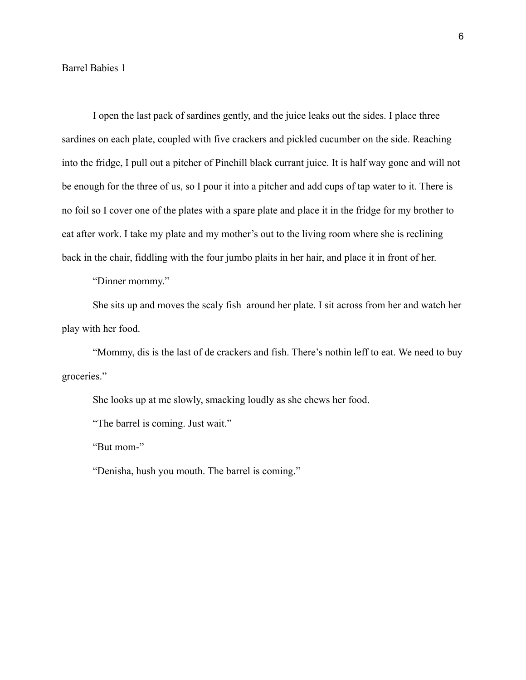Barrel Babies 1

I open the last pack of sardines gently, and the juice leaks out the sides. I place three sardines on each plate, coupled with five crackers and pickled cucumber on the side. Reaching into the fridge, I pull out a pitcher of Pinehill black currant juice. It is half way gone and will not be enough for the three of us, so I pour it into a pitcher and add cups of tap water to it. There is no foil so I cover one of the plates with a spare plate and place it in the fridge for my brother to eat after work. I take my plate and my mother's out to the living room where she is reclining back in the chair, fiddling with the four jumbo plaits in her hair, and place it in front of her.

"Dinner mommy."

She sits up and moves the scaly fish around her plate. I sit across from her and watch her play with her food.

"Mommy, dis is the last of de crackers and fish. There's nothin leff to eat. We need to buy groceries."

She looks up at me slowly, smacking loudly as she chews her food.

"The barrel is coming. Just wait."

"But mom-"

"Denisha, hush you mouth. The barrel is coming."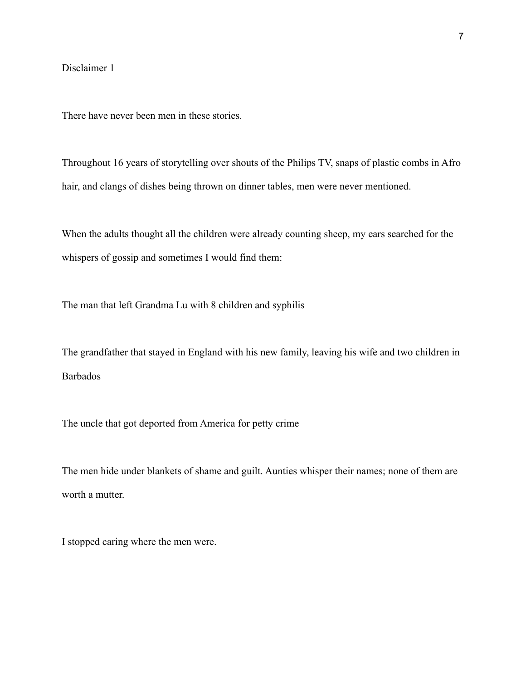## Disclaimer 1

There have never been men in these stories.

Throughout 16 years of storytelling over shouts of the Philips TV, snaps of plastic combs in Afro hair, and clangs of dishes being thrown on dinner tables, men were never mentioned.

When the adults thought all the children were already counting sheep, my ears searched for the whispers of gossip and sometimes I would find them:

The man that left Grandma Lu with 8 children and syphilis

The grandfather that stayed in England with his new family, leaving his wife and two children in Barbados

The uncle that got deported from America for petty crime

The men hide under blankets of shame and guilt. Aunties whisper their names; none of them are worth a mutter.

I stopped caring where the men were.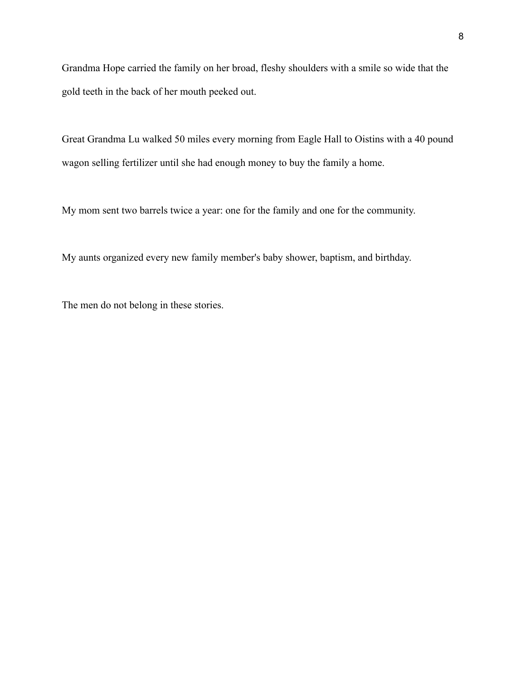Grandma Hope carried the family on her broad, fleshy shoulders with a smile so wide that the gold teeth in the back of her mouth peeked out.

Great Grandma Lu walked 50 miles every morning from Eagle Hall to Oistins with a 40 pound wagon selling fertilizer until she had enough money to buy the family a home.

My mom sent two barrels twice a year: one for the family and one for the community.

My aunts organized every new family member's baby shower, baptism, and birthday.

The men do not belong in these stories.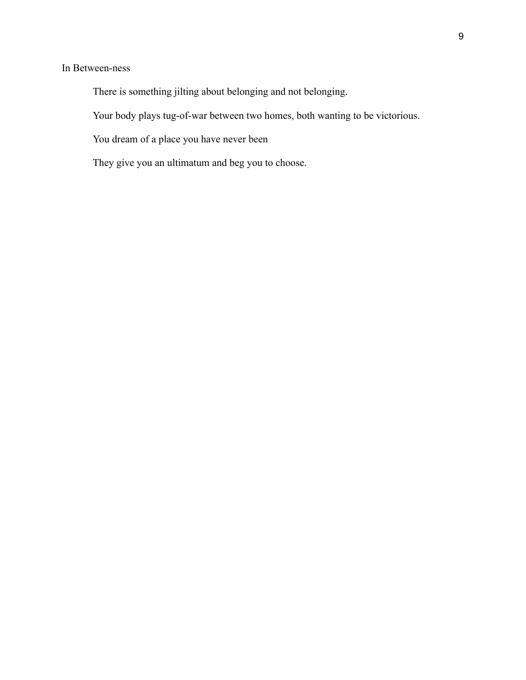## In Between-ness

There is something jilting about belonging and not belonging.

Your body plays tug-of-war between two homes, both wanting to be victorious.

You dream of a place you have never been

They give you an ultimatum and beg you to choose.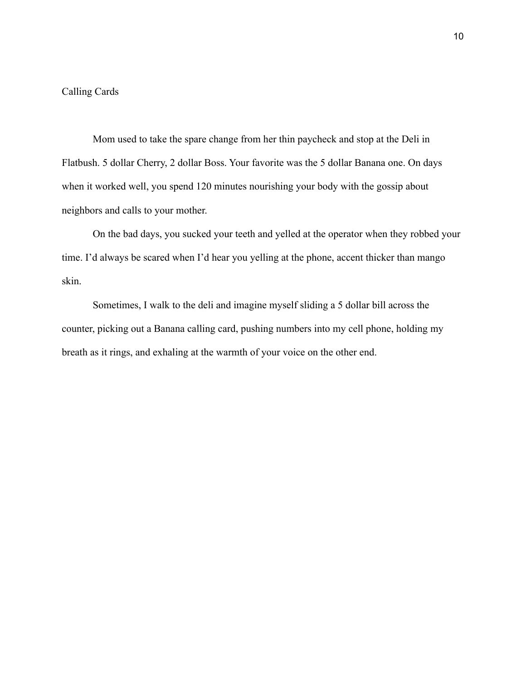## Calling Cards

Mom used to take the spare change from her thin paycheck and stop at the Deli in Flatbush. 5 dollar Cherry, 2 dollar Boss. Your favorite was the 5 dollar Banana one. On days when it worked well, you spend 120 minutes nourishing your body with the gossip about neighbors and calls to your mother.

On the bad days, you sucked your teeth and yelled at the operator when they robbed your time. I'd always be scared when I'd hear you yelling at the phone, accent thicker than mango skin.

Sometimes, I walk to the deli and imagine myself sliding a 5 dollar bill across the counter, picking out a Banana calling card, pushing numbers into my cell phone, holding my breath as it rings, and exhaling at the warmth of your voice on the other end.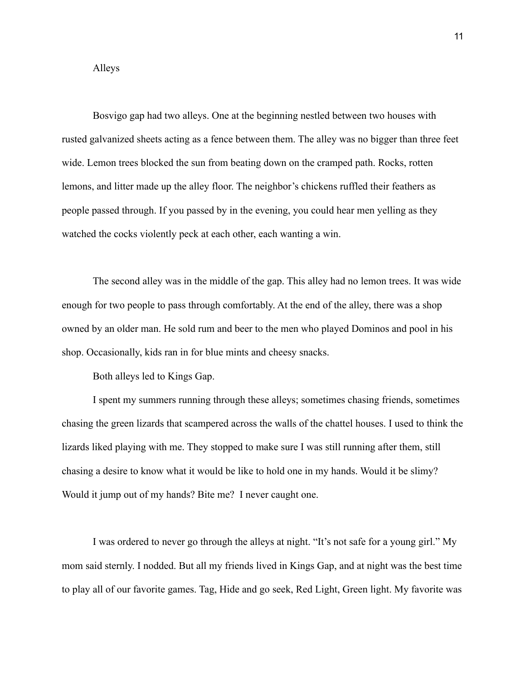#### Alleys

Bosvigo gap had two alleys. One at the beginning nestled between two houses with rusted galvanized sheets acting as a fence between them. The alley was no bigger than three feet wide. Lemon trees blocked the sun from beating down on the cramped path. Rocks, rotten lemons, and litter made up the alley floor. The neighbor's chickens ruffled their feathers as people passed through. If you passed by in the evening, you could hear men yelling as they watched the cocks violently peck at each other, each wanting a win.

The second alley was in the middle of the gap. This alley had no lemon trees. It was wide enough for two people to pass through comfortably. At the end of the alley, there was a shop owned by an older man. He sold rum and beer to the men who played Dominos and pool in his shop. Occasionally, kids ran in for blue mints and cheesy snacks.

Both alleys led to Kings Gap.

I spent my summers running through these alleys; sometimes chasing friends, sometimes chasing the green lizards that scampered across the walls of the chattel houses. I used to think the lizards liked playing with me. They stopped to make sure I was still running after them, still chasing a desire to know what it would be like to hold one in my hands. Would it be slimy? Would it jump out of my hands? Bite me? I never caught one.

I was ordered to never go through the alleys at night. "It's not safe for a young girl." My mom said sternly. I nodded. But all my friends lived in Kings Gap, and at night was the best time to play all of our favorite games. Tag, Hide and go seek, Red Light, Green light. My favorite was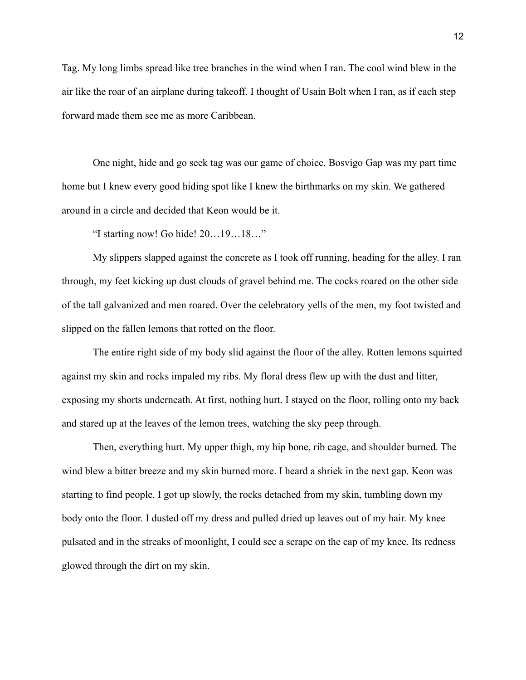Tag. My long limbs spread like tree branches in the wind when I ran. The cool wind blew in the air like the roar of an airplane during takeoff. I thought of Usain Bolt when I ran, as if each step forward made them see me as more Caribbean.

One night, hide and go seek tag was our game of choice. Bosvigo Gap was my part time home but I knew every good hiding spot like I knew the birthmarks on my skin. We gathered around in a circle and decided that Keon would be it.

"I starting now! Go hide! 20…19…18…"

My slippers slapped against the concrete as I took off running, heading for the alley. I ran through, my feet kicking up dust clouds of gravel behind me. The cocks roared on the other side of the tall galvanized and men roared. Over the celebratory yells of the men, my foot twisted and slipped on the fallen lemons that rotted on the floor.

The entire right side of my body slid against the floor of the alley. Rotten lemons squirted against my skin and rocks impaled my ribs. My floral dress flew up with the dust and litter, exposing my shorts underneath. At first, nothing hurt. I stayed on the floor, rolling onto my back and stared up at the leaves of the lemon trees, watching the sky peep through.

Then, everything hurt. My upper thigh, my hip bone, rib cage, and shoulder burned. The wind blew a bitter breeze and my skin burned more. I heard a shriek in the next gap. Keon was starting to find people. I got up slowly, the rocks detached from my skin, tumbling down my body onto the floor. I dusted off my dress and pulled dried up leaves out of my hair. My knee pulsated and in the streaks of moonlight, I could see a scrape on the cap of my knee. Its redness glowed through the dirt on my skin.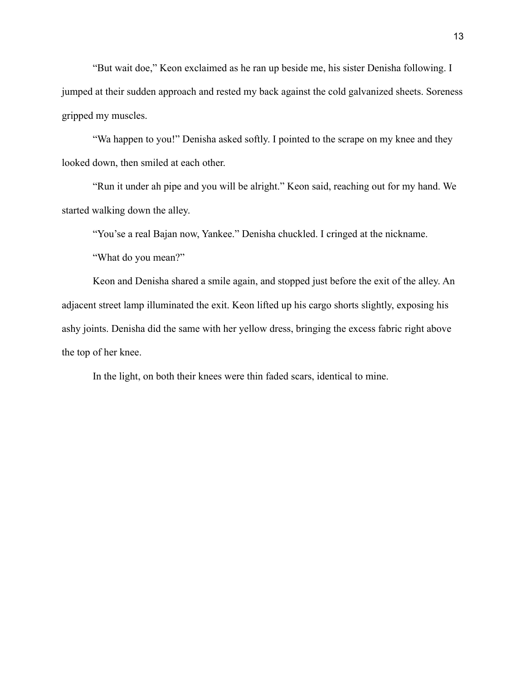"But wait doe," Keon exclaimed as he ran up beside me, his sister Denisha following. I jumped at their sudden approach and rested my back against the cold galvanized sheets. Soreness gripped my muscles.

"Wa happen to you!" Denisha asked softly. I pointed to the scrape on my knee and they looked down, then smiled at each other.

"Run it under ah pipe and you will be alright." Keon said, reaching out for my hand. We started walking down the alley.

"You'se a real Bajan now, Yankee." Denisha chuckled. I cringed at the nickname.

"What do you mean?"

Keon and Denisha shared a smile again, and stopped just before the exit of the alley. An adjacent street lamp illuminated the exit. Keon lifted up his cargo shorts slightly, exposing his ashy joints. Denisha did the same with her yellow dress, bringing the excess fabric right above the top of her knee.

In the light, on both their knees were thin faded scars, identical to mine.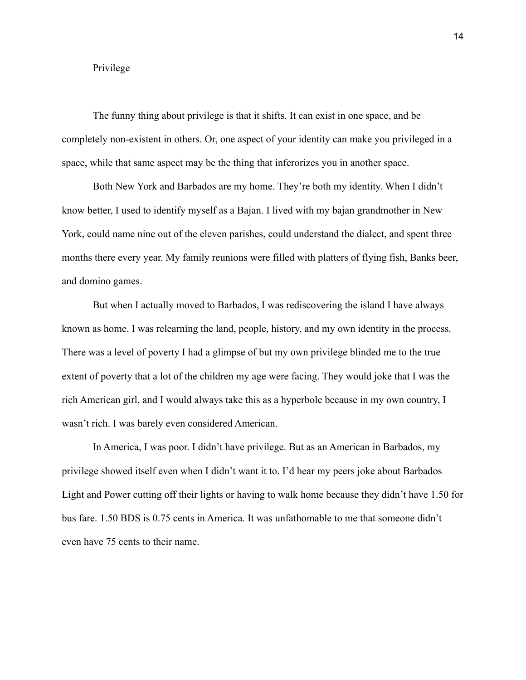#### Privilege

The funny thing about privilege is that it shifts. It can exist in one space, and be completely non-existent in others. Or, one aspect of your identity can make you privileged in a space, while that same aspect may be the thing that inferorizes you in another space.

Both New York and Barbados are my home. They're both my identity. When I didn't know better, I used to identify myself as a Bajan. I lived with my bajan grandmother in New York, could name nine out of the eleven parishes, could understand the dialect, and spent three months there every year. My family reunions were filled with platters of flying fish, Banks beer, and domino games.

But when I actually moved to Barbados, I was rediscovering the island I have always known as home. I was relearning the land, people, history, and my own identity in the process. There was a level of poverty I had a glimpse of but my own privilege blinded me to the true extent of poverty that a lot of the children my age were facing. They would joke that I was the rich American girl, and I would always take this as a hyperbole because in my own country, I wasn't rich. I was barely even considered American.

In America, I was poor. I didn't have privilege. But as an American in Barbados, my privilege showed itself even when I didn't want it to. I'd hear my peers joke about Barbados Light and Power cutting off their lights or having to walk home because they didn't have 1.50 for bus fare. 1.50 BDS is 0.75 cents in America. It was unfathomable to me that someone didn't even have 75 cents to their name.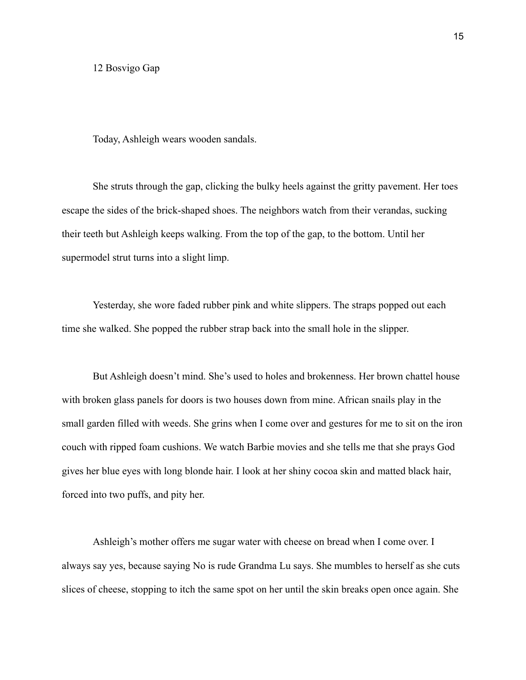12 Bosvigo Gap

Today, Ashleigh wears wooden sandals.

She struts through the gap, clicking the bulky heels against the gritty pavement. Her toes escape the sides of the brick-shaped shoes. The neighbors watch from their verandas, sucking their teeth but Ashleigh keeps walking. From the top of the gap, to the bottom. Until her supermodel strut turns into a slight limp.

Yesterday, she wore faded rubber pink and white slippers. The straps popped out each time she walked. She popped the rubber strap back into the small hole in the slipper.

But Ashleigh doesn't mind. She's used to holes and brokenness. Her brown chattel house with broken glass panels for doors is two houses down from mine. African snails play in the small garden filled with weeds. She grins when I come over and gestures for me to sit on the iron couch with ripped foam cushions. We watch Barbie movies and she tells me that she prays God gives her blue eyes with long blonde hair. I look at her shiny cocoa skin and matted black hair, forced into two puffs, and pity her.

Ashleigh's mother offers me sugar water with cheese on bread when I come over. I always say yes, because saying No is rude Grandma Lu says. She mumbles to herself as she cuts slices of cheese, stopping to itch the same spot on her until the skin breaks open once again. She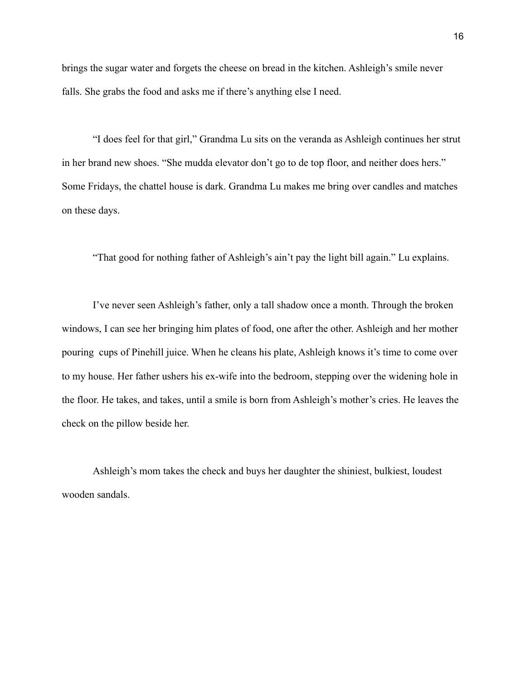brings the sugar water and forgets the cheese on bread in the kitchen. Ashleigh's smile never falls. She grabs the food and asks me if there's anything else I need.

"I does feel for that girl," Grandma Lu sits on the veranda as Ashleigh continues her strut in her brand new shoes. "She mudda elevator don't go to de top floor, and neither does hers." Some Fridays, the chattel house is dark. Grandma Lu makes me bring over candles and matches on these days.

"That good for nothing father of Ashleigh's ain't pay the light bill again." Lu explains.

I've never seen Ashleigh's father, only a tall shadow once a month. Through the broken windows, I can see her bringing him plates of food, one after the other. Ashleigh and her mother pouring cups of Pinehill juice. When he cleans his plate, Ashleigh knows it's time to come over to my house. Her father ushers his ex-wife into the bedroom, stepping over the widening hole in the floor. He takes, and takes, until a smile is born from Ashleigh's mother's cries. He leaves the check on the pillow beside her.

Ashleigh's mom takes the check and buys her daughter the shiniest, bulkiest, loudest wooden sandals.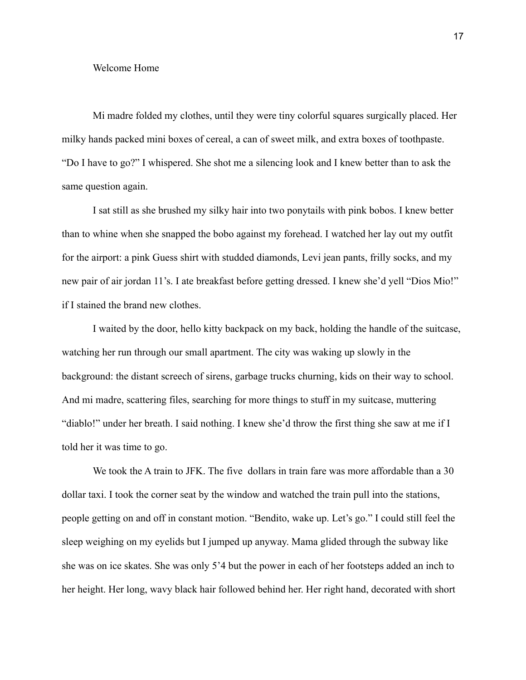#### Welcome Home

Mi madre folded my clothes, until they were tiny colorful squares surgically placed. Her milky hands packed mini boxes of cereal, a can of sweet milk, and extra boxes of toothpaste. "Do I have to go?" I whispered. She shot me a silencing look and I knew better than to ask the same question again.

I sat still as she brushed my silky hair into two ponytails with pink bobos. I knew better than to whine when she snapped the bobo against my forehead. I watched her lay out my outfit for the airport: a pink Guess shirt with studded diamonds, Levi jean pants, frilly socks, and my new pair of air jordan 11's. I ate breakfast before getting dressed. I knew she'd yell "Dios Mio!" if I stained the brand new clothes.

I waited by the door, hello kitty backpack on my back, holding the handle of the suitcase, watching her run through our small apartment. The city was waking up slowly in the background: the distant screech of sirens, garbage trucks churning, kids on their way to school. And mi madre, scattering files, searching for more things to stuff in my suitcase, muttering "diablo!" under her breath. I said nothing. I knew she'd throw the first thing she saw at me if I told her it was time to go.

We took the A train to JFK. The five dollars in train fare was more affordable than a 30 dollar taxi. I took the corner seat by the window and watched the train pull into the stations, people getting on and off in constant motion. "Bendito, wake up. Let's go." I could still feel the sleep weighing on my eyelids but I jumped up anyway. Mama glided through the subway like she was on ice skates. She was only 5'4 but the power in each of her footsteps added an inch to her height. Her long, wavy black hair followed behind her. Her right hand, decorated with short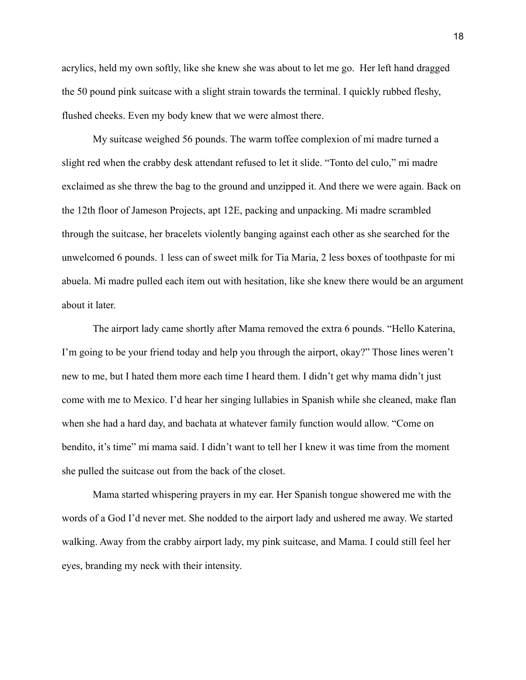acrylics, held my own softly, like she knew she was about to let me go. Her left hand dragged the 50 pound pink suitcase with a slight strain towards the terminal. I quickly rubbed fleshy, flushed cheeks. Even my body knew that we were almost there.

My suitcase weighed 56 pounds. The warm toffee complexion of mi madre turned a slight red when the crabby desk attendant refused to let it slide. "Tonto del culo," mi madre exclaimed as she threw the bag to the ground and unzipped it. And there we were again. Back on the 12th floor of Jameson Projects, apt 12E, packing and unpacking. Mi madre scrambled through the suitcase, her bracelets violently banging against each other as she searched for the unwelcomed 6 pounds. 1 less can of sweet milk for Tia Maria, 2 less boxes of toothpaste for mi abuela. Mi madre pulled each item out with hesitation, like she knew there would be an argument about it later.

The airport lady came shortly after Mama removed the extra 6 pounds. "Hello Katerina, I'm going to be your friend today and help you through the airport, okay?" Those lines weren't new to me, but I hated them more each time I heard them. I didn't get why mama didn't just come with me to Mexico. I'd hear her singing lullabies in Spanish while she cleaned, make flan when she had a hard day, and bachata at whatever family function would allow. "Come on bendito, it's time" mi mama said. I didn't want to tell her I knew it was time from the moment she pulled the suitcase out from the back of the closet.

Mama started whispering prayers in my ear. Her Spanish tongue showered me with the words of a God I'd never met. She nodded to the airport lady and ushered me away. We started walking. Away from the crabby airport lady, my pink suitcase, and Mama. I could still feel her eyes, branding my neck with their intensity.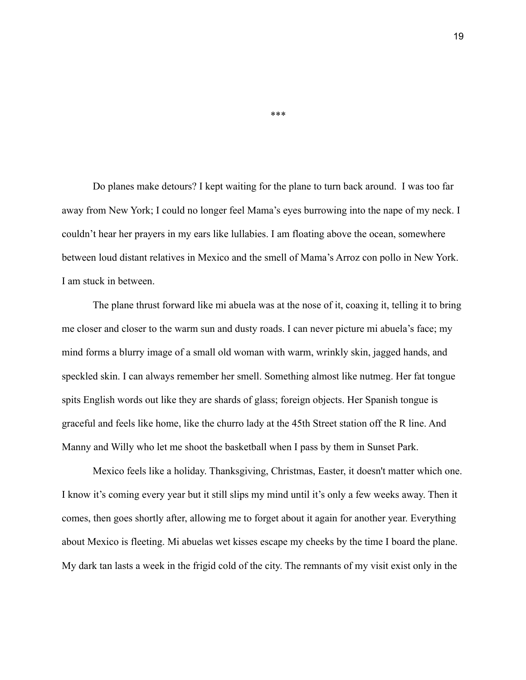Do planes make detours? I kept waiting for the plane to turn back around. I was too far away from New York; I could no longer feel Mama's eyes burrowing into the nape of my neck. I couldn't hear her prayers in my ears like lullabies. I am floating above the ocean, somewhere between loud distant relatives in Mexico and the smell of Mama's Arroz con pollo in New York. I am stuck in between.

The plane thrust forward like mi abuela was at the nose of it, coaxing it, telling it to bring me closer and closer to the warm sun and dusty roads. I can never picture mi abuela's face; my mind forms a blurry image of a small old woman with warm, wrinkly skin, jagged hands, and speckled skin. I can always remember her smell. Something almost like nutmeg. Her fat tongue spits English words out like they are shards of glass; foreign objects. Her Spanish tongue is graceful and feels like home, like the churro lady at the 45th Street station off the R line. And Manny and Willy who let me shoot the basketball when I pass by them in Sunset Park.

Mexico feels like a holiday. Thanksgiving, Christmas, Easter, it doesn't matter which one. I know it's coming every year but it still slips my mind until it's only a few weeks away. Then it comes, then goes shortly after, allowing me to forget about it again for another year. Everything about Mexico is fleeting. Mi abuelas wet kisses escape my cheeks by the time I board the plane. My dark tan lasts a week in the frigid cold of the city. The remnants of my visit exist only in the

\*\*\*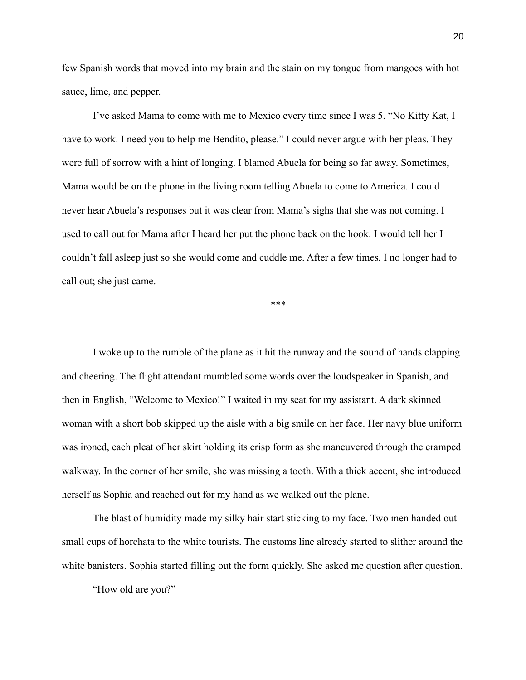few Spanish words that moved into my brain and the stain on my tongue from mangoes with hot sauce, lime, and pepper.

I've asked Mama to come with me to Mexico every time since I was 5. "No Kitty Kat, I have to work. I need you to help me Bendito, please." I could never argue with her pleas. They were full of sorrow with a hint of longing. I blamed Abuela for being so far away. Sometimes, Mama would be on the phone in the living room telling Abuela to come to America. I could never hear Abuela's responses but it was clear from Mama's sighs that she was not coming. I used to call out for Mama after I heard her put the phone back on the hook. I would tell her I couldn't fall asleep just so she would come and cuddle me. After a few times, I no longer had to call out; she just came.

\*\*\*

I woke up to the rumble of the plane as it hit the runway and the sound of hands clapping and cheering. The flight attendant mumbled some words over the loudspeaker in Spanish, and then in English, "Welcome to Mexico!" I waited in my seat for my assistant. A dark skinned woman with a short bob skipped up the aisle with a big smile on her face. Her navy blue uniform was ironed, each pleat of her skirt holding its crisp form as she maneuvered through the cramped walkway. In the corner of her smile, she was missing a tooth. With a thick accent, she introduced herself as Sophia and reached out for my hand as we walked out the plane.

The blast of humidity made my silky hair start sticking to my face. Two men handed out small cups of horchata to the white tourists. The customs line already started to slither around the white banisters. Sophia started filling out the form quickly. She asked me question after question.

"How old are you?"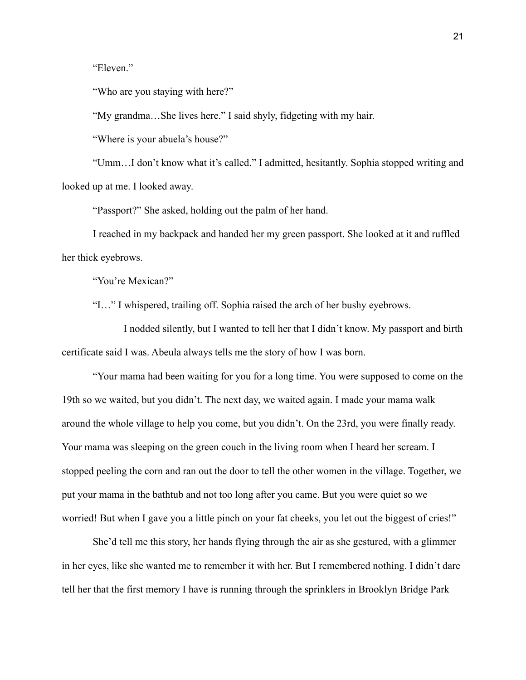"Eleven."

"Who are you staying with here?"

"My grandma…She lives here." I said shyly, fidgeting with my hair.

"Where is your abuela's house?"

"Umm…I don't know what it's called." I admitted, hesitantly. Sophia stopped writing and looked up at me. I looked away.

"Passport?" She asked, holding out the palm of her hand.

I reached in my backpack and handed her my green passport. She looked at it and ruffled her thick eyebrows.

"You're Mexican?"

"I…" I whispered, trailing off. Sophia raised the arch of her bushy eyebrows.

I nodded silently, but I wanted to tell her that I didn't know. My passport and birth certificate said I was. Abeula always tells me the story of how I was born.

"Your mama had been waiting for you for a long time. You were supposed to come on the 19th so we waited, but you didn't. The next day, we waited again. I made your mama walk around the whole village to help you come, but you didn't. On the 23rd, you were finally ready. Your mama was sleeping on the green couch in the living room when I heard her scream. I stopped peeling the corn and ran out the door to tell the other women in the village. Together, we put your mama in the bathtub and not too long after you came. But you were quiet so we worried! But when I gave you a little pinch on your fat cheeks, you let out the biggest of cries!"

She'd tell me this story, her hands flying through the air as she gestured, with a glimmer in her eyes, like she wanted me to remember it with her. But I remembered nothing. I didn't dare tell her that the first memory I have is running through the sprinklers in Brooklyn Bridge Park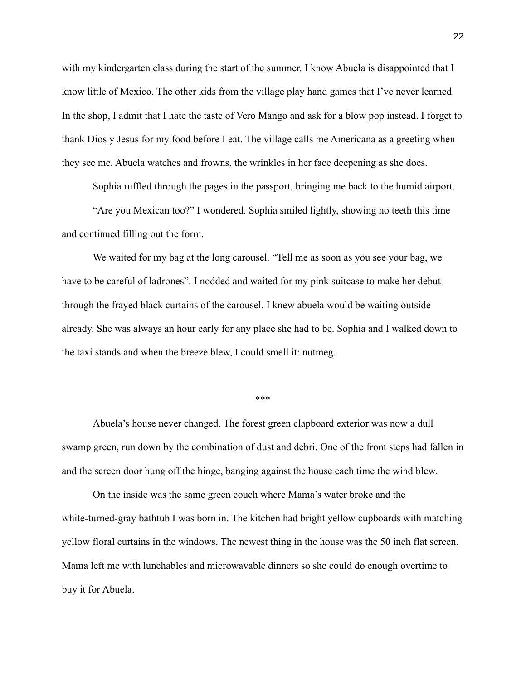with my kindergarten class during the start of the summer. I know Abuela is disappointed that I know little of Mexico. The other kids from the village play hand games that I've never learned. In the shop, I admit that I hate the taste of Vero Mango and ask for a blow pop instead. I forget to thank Dios y Jesus for my food before I eat. The village calls me Americana as a greeting when they see me. Abuela watches and frowns, the wrinkles in her face deepening as she does.

Sophia ruffled through the pages in the passport, bringing me back to the humid airport.

"Are you Mexican too?" I wondered. Sophia smiled lightly, showing no teeth this time and continued filling out the form.

We waited for my bag at the long carousel. "Tell me as soon as you see your bag, we have to be careful of ladrones". I nodded and waited for my pink suitcase to make her debut through the frayed black curtains of the carousel. I knew abuela would be waiting outside already. She was always an hour early for any place she had to be. Sophia and I walked down to the taxi stands and when the breeze blew, I could smell it: nutmeg.

\*\*\*

Abuela's house never changed. The forest green clapboard exterior was now a dull swamp green, run down by the combination of dust and debri. One of the front steps had fallen in and the screen door hung off the hinge, banging against the house each time the wind blew.

On the inside was the same green couch where Mama's water broke and the white-turned-gray bathtub I was born in. The kitchen had bright yellow cupboards with matching yellow floral curtains in the windows. The newest thing in the house was the 50 inch flat screen. Mama left me with lunchables and microwavable dinners so she could do enough overtime to buy it for Abuela.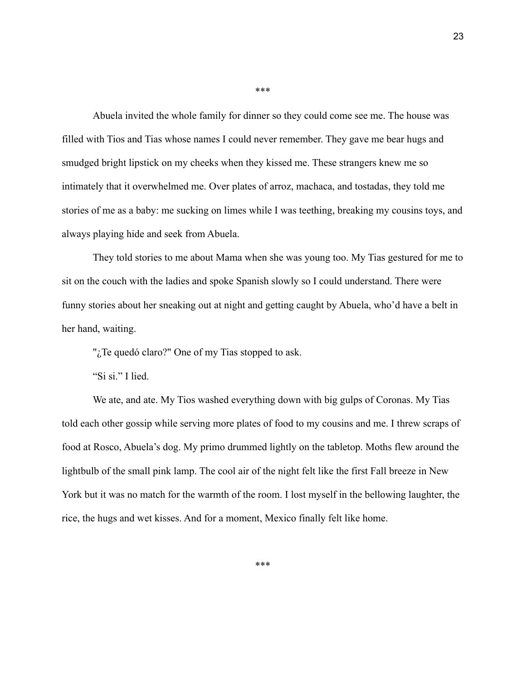Abuela invited the whole family for dinner so they could come see me. The house was filled with Tios and Tias whose names I could never remember. They gave me bear hugs and smudged bright lipstick on my cheeks when they kissed me. These strangers knew me so intimately that it overwhelmed me. Over plates of arroz, machaca, and tostadas, they told me stories of me as a baby: me sucking on limes while I was teething, breaking my cousins toys, and always playing hide and seek from Abuela.

They told stories to me about Mama when she was young too. My Tias gestured for me to sit on the couch with the ladies and spoke Spanish slowly so I could understand. There were funny stories about her sneaking out at night and getting caught by Abuela, who'd have a belt in her hand, waiting.

"; Te quedó claro?" One of my Tias stopped to ask.

"Si si." I lied.

We ate, and ate. My Tios washed everything down with big gulps of Coronas. My Tias told each other gossip while serving more plates of food to my cousins and me. I threw scraps of food at Rosco, Abuela's dog. My primo drummed lightly on the tabletop. Moths flew around the lightbulb of the small pink lamp. The cool air of the night felt like the first Fall breeze in New York but it was no match for the warmth of the room. I lost myself in the bellowing laughter, the rice, the hugs and wet kisses. And for a moment, Mexico finally felt like home.

\*\*\*

\*\*\*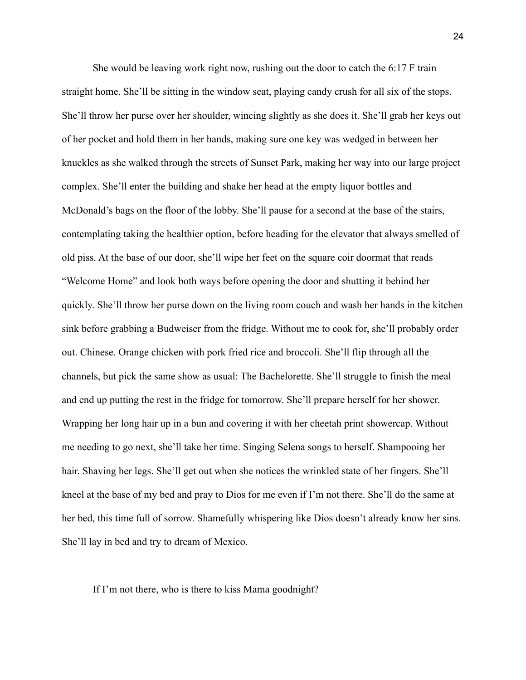She would be leaving work right now, rushing out the door to catch the 6:17 F train straight home. She'll be sitting in the window seat, playing candy crush for all six of the stops. She'll throw her purse over her shoulder, wincing slightly as she does it. She'll grab her keys out of her pocket and hold them in her hands, making sure one key was wedged in between her knuckles as she walked through the streets of Sunset Park, making her way into our large project complex. She'll enter the building and shake her head at the empty liquor bottles and McDonald's bags on the floor of the lobby. She'll pause for a second at the base of the stairs, contemplating taking the healthier option, before heading for the elevator that always smelled of old piss. At the base of our door, she'll wipe her feet on the square coir doormat that reads "Welcome Home" and look both ways before opening the door and shutting it behind her quickly. She'll throw her purse down on the living room couch and wash her hands in the kitchen sink before grabbing a Budweiser from the fridge. Without me to cook for, she'll probably order out. Chinese. Orange chicken with pork fried rice and broccoli. She'll flip through all the channels, but pick the same show as usual: The Bachelorette. She'll struggle to finish the meal and end up putting the rest in the fridge for tomorrow. She'll prepare herself for her shower. Wrapping her long hair up in a bun and covering it with her cheetah print showercap. Without me needing to go next, she'll take her time. Singing Selena songs to herself. Shampooing her hair. Shaving her legs. She'll get out when she notices the wrinkled state of her fingers. She'll kneel at the base of my bed and pray to Dios for me even if I'm not there. She'll do the same at her bed, this time full of sorrow. Shamefully whispering like Dios doesn't already know her sins. She'll lay in bed and try to dream of Mexico.

#### If I'm not there, who is there to kiss Mama goodnight?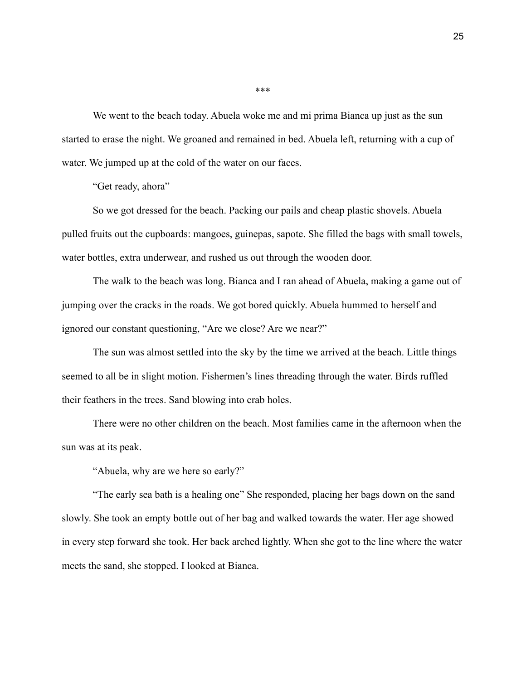We went to the beach today. Abuela woke me and mi prima Bianca up just as the sun started to erase the night. We groaned and remained in bed. Abuela left, returning with a cup of water. We jumped up at the cold of the water on our faces.

"Get ready, ahora"

So we got dressed for the beach. Packing our pails and cheap plastic shovels. Abuela pulled fruits out the cupboards: mangoes, guinepas, sapote. She filled the bags with small towels, water bottles, extra underwear, and rushed us out through the wooden door.

The walk to the beach was long. Bianca and I ran ahead of Abuela, making a game out of jumping over the cracks in the roads. We got bored quickly. Abuela hummed to herself and ignored our constant questioning, "Are we close? Are we near?"

The sun was almost settled into the sky by the time we arrived at the beach. Little things seemed to all be in slight motion. Fishermen's lines threading through the water. Birds ruffled their feathers in the trees. Sand blowing into crab holes.

There were no other children on the beach. Most families came in the afternoon when the sun was at its peak.

"Abuela, why are we here so early?"

"The early sea bath is a healing one" She responded, placing her bags down on the sand slowly. She took an empty bottle out of her bag and walked towards the water. Her age showed in every step forward she took. Her back arched lightly. When she got to the line where the water meets the sand, she stopped. I looked at Bianca.

\*\*\*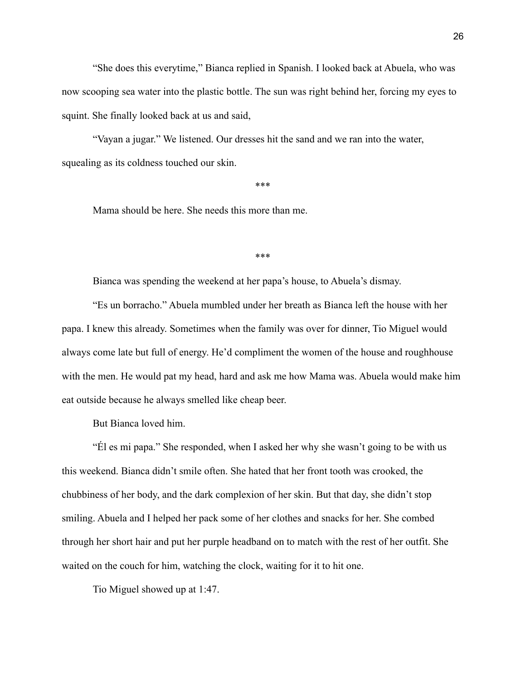"She does this everytime," Bianca replied in Spanish. I looked back at Abuela, who was now scooping sea water into the plastic bottle. The sun was right behind her, forcing my eyes to squint. She finally looked back at us and said,

"Vayan a jugar." We listened. Our dresses hit the sand and we ran into the water, squealing as its coldness touched our skin.

\*\*\*

Mama should be here. She needs this more than me.

\*\*\*

Bianca was spending the weekend at her papa's house, to Abuela's dismay.

"Es un borracho." Abuela mumbled under her breath as Bianca left the house with her papa. I knew this already. Sometimes when the family was over for dinner, Tio Miguel would always come late but full of energy. He'd compliment the women of the house and roughhouse with the men. He would pat my head, hard and ask me how Mama was. Abuela would make him eat outside because he always smelled like cheap beer.

But Bianca loved him.

"Él es mi papa." She responded, when I asked her why she wasn't going to be with us this weekend. Bianca didn't smile often. She hated that her front tooth was crooked, the chubbiness of her body, and the dark complexion of her skin. But that day, she didn't stop smiling. Abuela and I helped her pack some of her clothes and snacks for her. She combed through her short hair and put her purple headband on to match with the rest of her outfit. She waited on the couch for him, watching the clock, waiting for it to hit one.

Tio Miguel showed up at 1:47.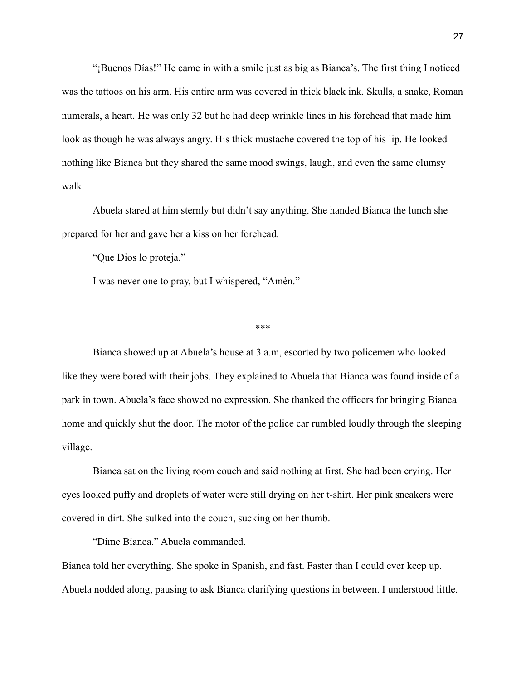"¡Buenos Días!" He came in with a smile just as big as Bianca's. The first thing I noticed was the tattoos on his arm. His entire arm was covered in thick black ink. Skulls, a snake, Roman numerals, a heart. He was only 32 but he had deep wrinkle lines in his forehead that made him look as though he was always angry. His thick mustache covered the top of his lip. He looked nothing like Bianca but they shared the same mood swings, laugh, and even the same clumsy walk.

Abuela stared at him sternly but didn't say anything. She handed Bianca the lunch she prepared for her and gave her a kiss on her forehead.

"Que Dios lo proteja."

I was never one to pray, but I whispered, "Amèn."

\*\*\*

Bianca showed up at Abuela's house at 3 a.m, escorted by two policemen who looked like they were bored with their jobs. They explained to Abuela that Bianca was found inside of a park in town. Abuela's face showed no expression. She thanked the officers for bringing Bianca home and quickly shut the door. The motor of the police car rumbled loudly through the sleeping village.

Bianca sat on the living room couch and said nothing at first. She had been crying. Her eyes looked puffy and droplets of water were still drying on her t-shirt. Her pink sneakers were covered in dirt. She sulked into the couch, sucking on her thumb.

"Dime Bianca." Abuela commanded.

Bianca told her everything. She spoke in Spanish, and fast. Faster than I could ever keep up. Abuela nodded along, pausing to ask Bianca clarifying questions in between. I understood little.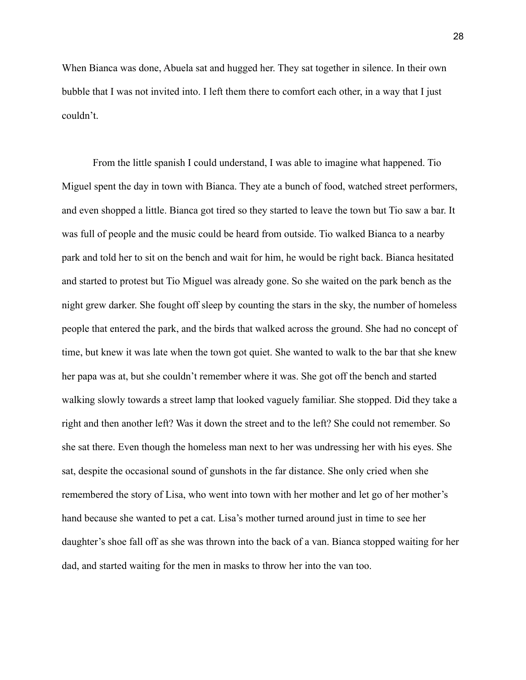When Bianca was done, Abuela sat and hugged her. They sat together in silence. In their own bubble that I was not invited into. I left them there to comfort each other, in a way that I just couldn't.

From the little spanish I could understand, I was able to imagine what happened. Tio Miguel spent the day in town with Bianca. They ate a bunch of food, watched street performers, and even shopped a little. Bianca got tired so they started to leave the town but Tio saw a bar. It was full of people and the music could be heard from outside. Tio walked Bianca to a nearby park and told her to sit on the bench and wait for him, he would be right back. Bianca hesitated and started to protest but Tio Miguel was already gone. So she waited on the park bench as the night grew darker. She fought off sleep by counting the stars in the sky, the number of homeless people that entered the park, and the birds that walked across the ground. She had no concept of time, but knew it was late when the town got quiet. She wanted to walk to the bar that she knew her papa was at, but she couldn't remember where it was. She got off the bench and started walking slowly towards a street lamp that looked vaguely familiar. She stopped. Did they take a right and then another left? Was it down the street and to the left? She could not remember. So she sat there. Even though the homeless man next to her was undressing her with his eyes. She sat, despite the occasional sound of gunshots in the far distance. She only cried when she remembered the story of Lisa, who went into town with her mother and let go of her mother's hand because she wanted to pet a cat. Lisa's mother turned around just in time to see her daughter's shoe fall off as she was thrown into the back of a van. Bianca stopped waiting for her dad, and started waiting for the men in masks to throw her into the van too.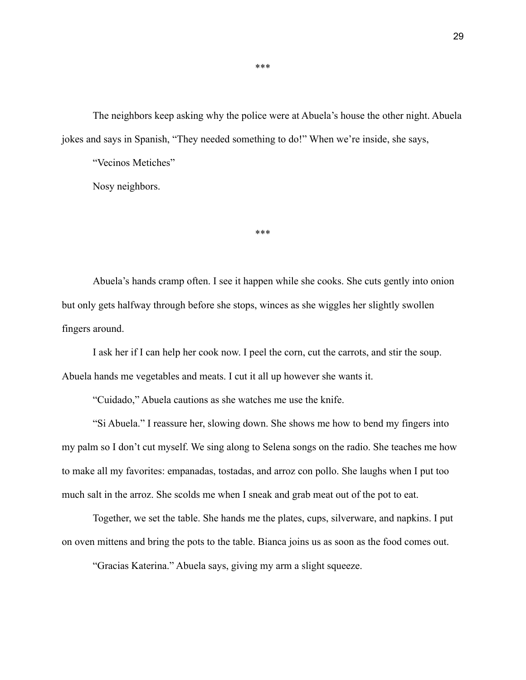The neighbors keep asking why the police were at Abuela's house the other night. Abuela jokes and says in Spanish, "They needed something to do!" When we're inside, she says,

"Vecinos Metiches"

Nosy neighbors.

Abuela's hands cramp often. I see it happen while she cooks. She cuts gently into onion but only gets halfway through before she stops, winces as she wiggles her slightly swollen fingers around.

\*\*\*

I ask her if I can help her cook now. I peel the corn, cut the carrots, and stir the soup. Abuela hands me vegetables and meats. I cut it all up however she wants it.

"Cuidado," Abuela cautions as she watches me use the knife.

"Si Abuela." I reassure her, slowing down. She shows me how to bend my fingers into my palm so I don't cut myself. We sing along to Selena songs on the radio. She teaches me how to make all my favorites: empanadas, tostadas, and arroz con pollo. She laughs when I put too much salt in the arroz. She scolds me when I sneak and grab meat out of the pot to eat.

Together, we set the table. She hands me the plates, cups, silverware, and napkins. I put on oven mittens and bring the pots to the table. Bianca joins us as soon as the food comes out.

"Gracias Katerina." Abuela says, giving my arm a slight squeeze.

\*\*\*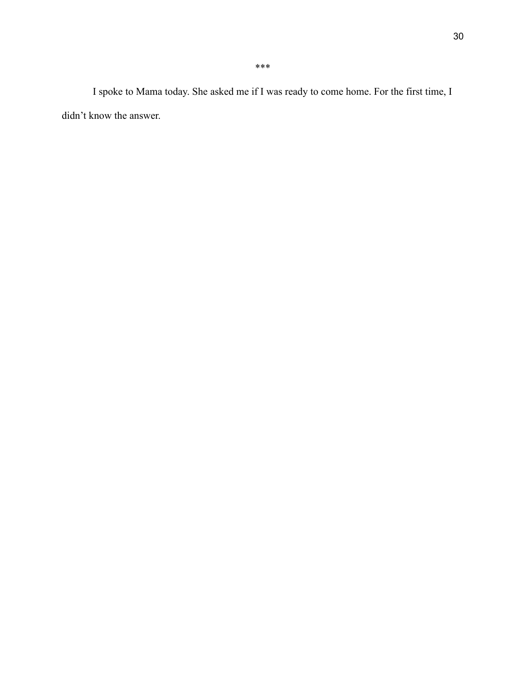I spoke to Mama today. She asked me if I was ready to come home. For the first time, I didn't know the answer.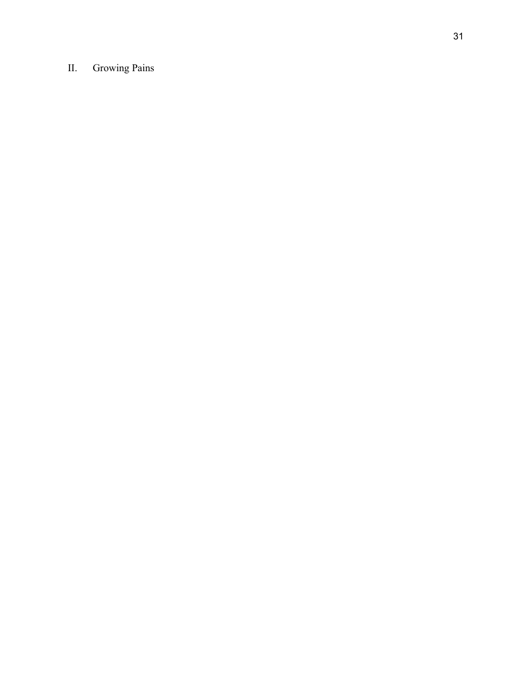# II. Growing Pains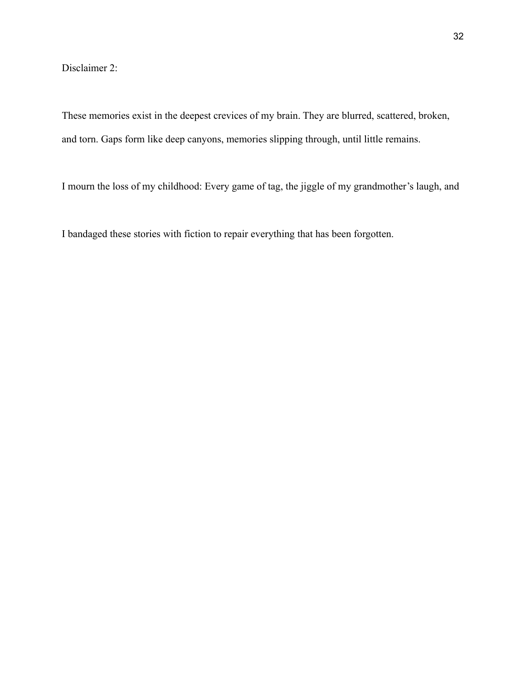Disclaimer 2:

These memories exist in the deepest crevices of my brain. They are blurred, scattered, broken, and torn. Gaps form like deep canyons, memories slipping through, until little remains.

I mourn the loss of my childhood: Every game of tag, the jiggle of my grandmother's laugh, and

I bandaged these stories with fiction to repair everything that has been forgotten.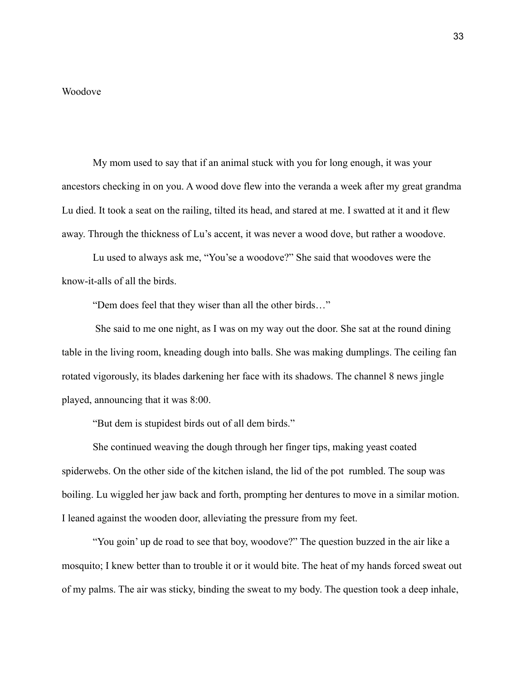#### Woodove

My mom used to say that if an animal stuck with you for long enough, it was your ancestors checking in on you. A wood dove flew into the veranda a week after my great grandma Lu died. It took a seat on the railing, tilted its head, and stared at me. I swatted at it and it flew away. Through the thickness of Lu's accent, it was never a wood dove, but rather a woodove.

Lu used to always ask me, "You'se a woodove?" She said that woodoves were the know-it-alls of all the birds.

"Dem does feel that they wiser than all the other birds…"

She said to me one night, as I was on my way out the door. She sat at the round dining table in the living room, kneading dough into balls. She was making dumplings. The ceiling fan rotated vigorously, its blades darkening her face with its shadows. The channel 8 news jingle played, announcing that it was 8:00.

"But dem is stupidest birds out of all dem birds."

She continued weaving the dough through her finger tips, making yeast coated spiderwebs. On the other side of the kitchen island, the lid of the pot rumbled. The soup was boiling. Lu wiggled her jaw back and forth, prompting her dentures to move in a similar motion. I leaned against the wooden door, alleviating the pressure from my feet.

"You goin' up de road to see that boy, woodove?" The question buzzed in the air like a mosquito; I knew better than to trouble it or it would bite. The heat of my hands forced sweat out of my palms. The air was sticky, binding the sweat to my body. The question took a deep inhale,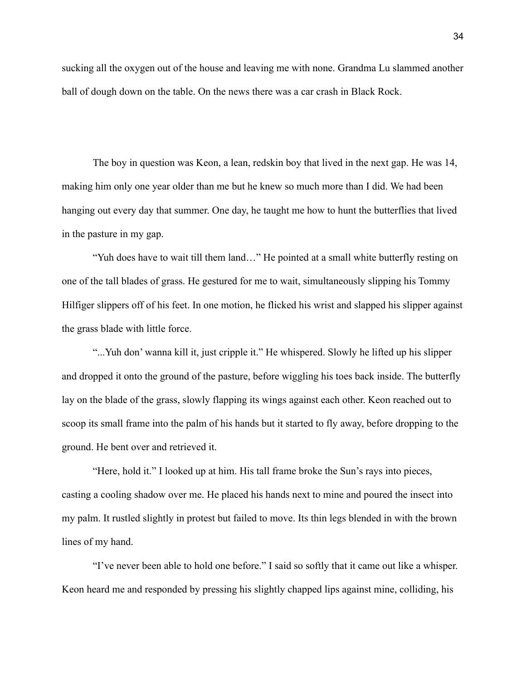sucking all the oxygen out of the house and leaving me with none. Grandma Lu slammed another ball of dough down on the table. On the news there was a car crash in Black Rock.

The boy in question was Keon, a lean, redskin boy that lived in the next gap. He was 14, making him only one year older than me but he knew so much more than I did. We had been hanging out every day that summer. One day, he taught me how to hunt the butterflies that lived in the pasture in my gap.

"Yuh does have to wait till them land…" He pointed at a small white butterfly resting on one of the tall blades of grass. He gestured for me to wait, simultaneously slipping his Tommy Hilfiger slippers off of his feet. In one motion, he flicked his wrist and slapped his slipper against the grass blade with little force.

"...Yuh don' wanna kill it, just cripple it." He whispered. Slowly he lifted up his slipper and dropped it onto the ground of the pasture, before wiggling his toes back inside. The butterfly lay on the blade of the grass, slowly flapping its wings against each other. Keon reached out to scoop its small frame into the palm of his hands but it started to fly away, before dropping to the ground. He bent over and retrieved it.

"Here, hold it." I looked up at him. His tall frame broke the Sun's rays into pieces, casting a cooling shadow over me. He placed his hands next to mine and poured the insect into my palm. It rustled slightly in protest but failed to move. Its thin legs blended in with the brown lines of my hand.

"I've never been able to hold one before." I said so softly that it came out like a whisper. Keon heard me and responded by pressing his slightly chapped lips against mine, colliding, his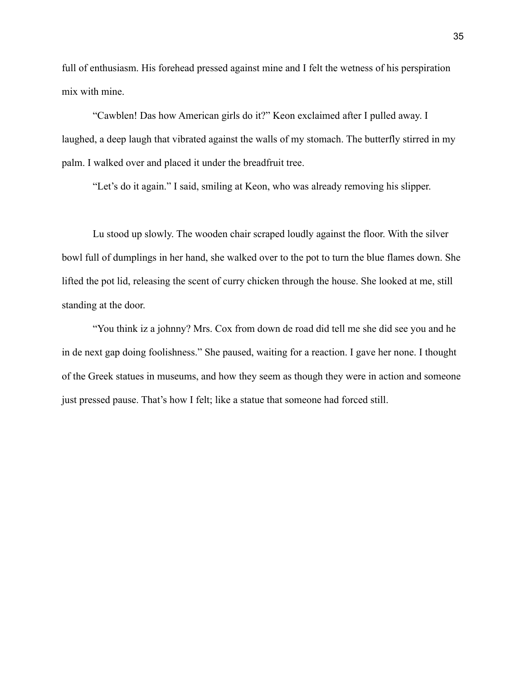full of enthusiasm. His forehead pressed against mine and I felt the wetness of his perspiration mix with mine.

"Cawblen! Das how American girls do it?" Keon exclaimed after I pulled away. I laughed, a deep laugh that vibrated against the walls of my stomach. The butterfly stirred in my palm. I walked over and placed it under the breadfruit tree.

"Let's do it again." I said, smiling at Keon, who was already removing his slipper.

Lu stood up slowly. The wooden chair scraped loudly against the floor. With the silver bowl full of dumplings in her hand, she walked over to the pot to turn the blue flames down. She lifted the pot lid, releasing the scent of curry chicken through the house. She looked at me, still standing at the door.

"You think iz a johnny? Mrs. Cox from down de road did tell me she did see you and he in de next gap doing foolishness." She paused, waiting for a reaction. I gave her none. I thought of the Greek statues in museums, and how they seem as though they were in action and someone just pressed pause. That's how I felt; like a statue that someone had forced still.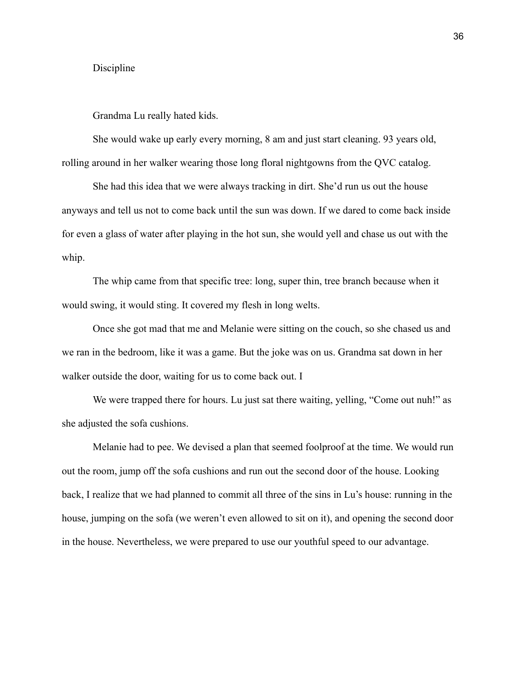#### Discipline

Grandma Lu really hated kids.

She would wake up early every morning, 8 am and just start cleaning. 93 years old, rolling around in her walker wearing those long floral nightgowns from the QVC catalog.

She had this idea that we were always tracking in dirt. She'd run us out the house anyways and tell us not to come back until the sun was down. If we dared to come back inside for even a glass of water after playing in the hot sun, she would yell and chase us out with the whip.

The whip came from that specific tree: long, super thin, tree branch because when it would swing, it would sting. It covered my flesh in long welts.

Once she got mad that me and Melanie were sitting on the couch, so she chased us and we ran in the bedroom, like it was a game. But the joke was on us. Grandma sat down in her walker outside the door, waiting for us to come back out. I

We were trapped there for hours. Lu just sat there waiting, yelling, "Come out nuh!" as she adjusted the sofa cushions.

Melanie had to pee. We devised a plan that seemed foolproof at the time. We would run out the room, jump off the sofa cushions and run out the second door of the house. Looking back, I realize that we had planned to commit all three of the sins in Lu's house: running in the house, jumping on the sofa (we weren't even allowed to sit on it), and opening the second door in the house. Nevertheless, we were prepared to use our youthful speed to our advantage.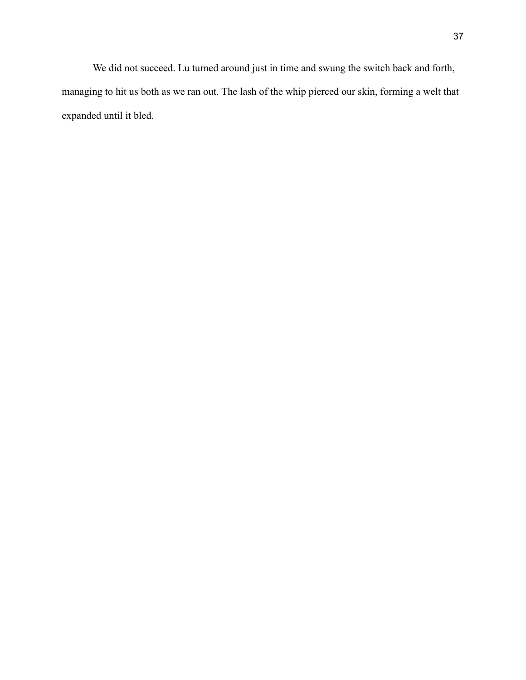We did not succeed. Lu turned around just in time and swung the switch back and forth, managing to hit us both as we ran out. The lash of the whip pierced our skin, forming a welt that expanded until it bled.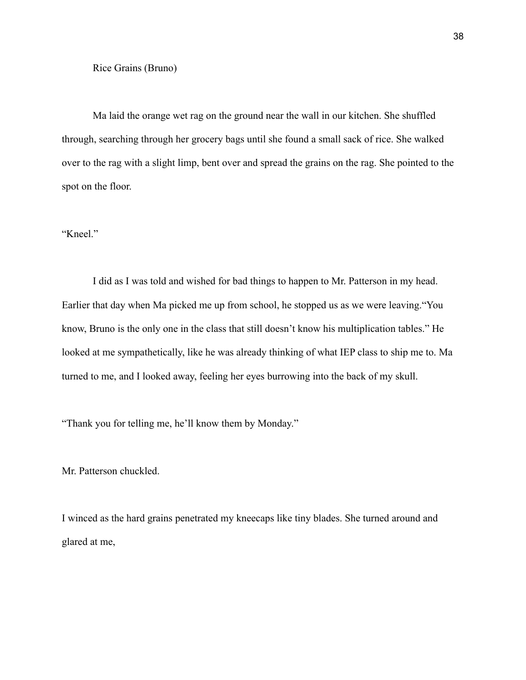Ma laid the orange wet rag on the ground near the wall in our kitchen. She shuffled through, searching through her grocery bags until she found a small sack of rice. She walked over to the rag with a slight limp, bent over and spread the grains on the rag. She pointed to the spot on the floor.

"Kneel."

I did as I was told and wished for bad things to happen to Mr. Patterson in my head. Earlier that day when Ma picked me up from school, he stopped us as we were leaving."You know, Bruno is the only one in the class that still doesn't know his multiplication tables." He looked at me sympathetically, like he was already thinking of what IEP class to ship me to. Ma turned to me, and I looked away, feeling her eyes burrowing into the back of my skull.

"Thank you for telling me, he'll know them by Monday."

Mr. Patterson chuckled.

I winced as the hard grains penetrated my kneecaps like tiny blades. She turned around and glared at me,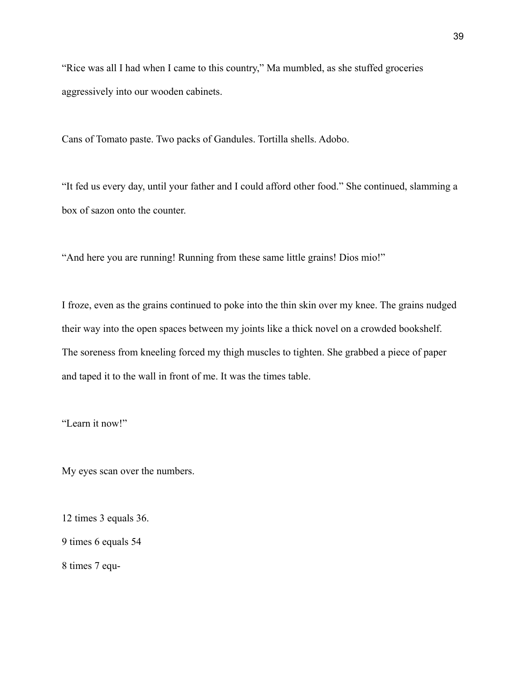"Rice was all I had when I came to this country," Ma mumbled, as she stuffed groceries aggressively into our wooden cabinets.

Cans of Tomato paste. Two packs of Gandules. Tortilla shells. Adobo.

"It fed us every day, until your father and I could afford other food." She continued, slamming a box of sazon onto the counter.

"And here you are running! Running from these same little grains! Dios mio!"

I froze, even as the grains continued to poke into the thin skin over my knee. The grains nudged their way into the open spaces between my joints like a thick novel on a crowded bookshelf. The soreness from kneeling forced my thigh muscles to tighten. She grabbed a piece of paper and taped it to the wall in front of me. It was the times table.

"Learn it now!"

My eyes scan over the numbers.

12 times 3 equals 36.

9 times 6 equals 54

8 times 7 equ-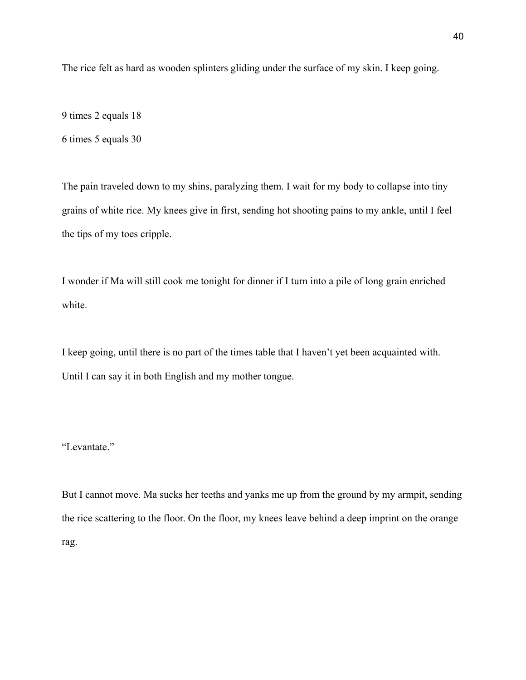The rice felt as hard as wooden splinters gliding under the surface of my skin. I keep going.

9 times 2 equals 18 6 times 5 equals 30

The pain traveled down to my shins, paralyzing them. I wait for my body to collapse into tiny grains of white rice. My knees give in first, sending hot shooting pains to my ankle, until I feel the tips of my toes cripple.

I wonder if Ma will still cook me tonight for dinner if I turn into a pile of long grain enriched white.

I keep going, until there is no part of the times table that I haven't yet been acquainted with. Until I can say it in both English and my mother tongue.

## "Levantate."

But I cannot move. Ma sucks her teeths and yanks me up from the ground by my armpit, sending the rice scattering to the floor. On the floor, my knees leave behind a deep imprint on the orange rag.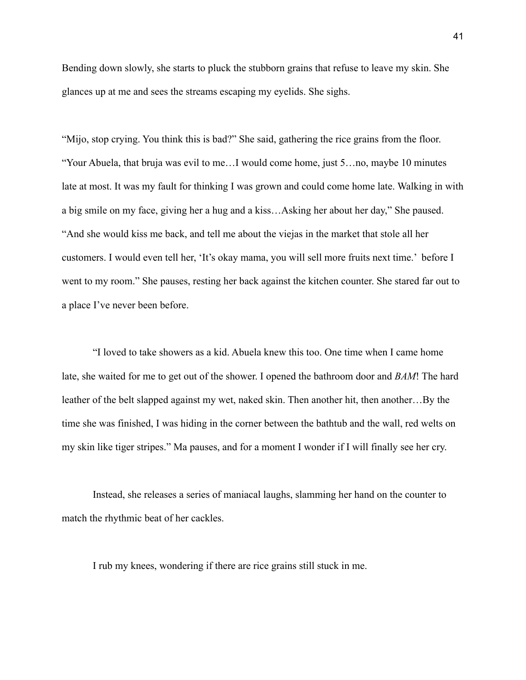Bending down slowly, she starts to pluck the stubborn grains that refuse to leave my skin. She glances up at me and sees the streams escaping my eyelids. She sighs.

"Mijo, stop crying. You think this is bad?" She said, gathering the rice grains from the floor. "Your Abuela, that bruja was evil to me…I would come home, just 5…no, maybe 10 minutes late at most. It was my fault for thinking I was grown and could come home late. Walking in with a big smile on my face, giving her a hug and a kiss…Asking her about her day," She paused. "And she would kiss me back, and tell me about the viejas in the market that stole all her customers. I would even tell her, 'It's okay mama, you will sell more fruits next time.' before I went to my room." She pauses, resting her back against the kitchen counter. She stared far out to a place I've never been before.

"I loved to take showers as a kid. Abuela knew this too. One time when I came home late, she waited for me to get out of the shower. I opened the bathroom door and *BAM*! The hard leather of the belt slapped against my wet, naked skin. Then another hit, then another...By the time she was finished, I was hiding in the corner between the bathtub and the wall, red welts on my skin like tiger stripes." Ma pauses, and for a moment I wonder if I will finally see her cry.

Instead, she releases a series of maniacal laughs, slamming her hand on the counter to match the rhythmic beat of her cackles.

I rub my knees, wondering if there are rice grains still stuck in me.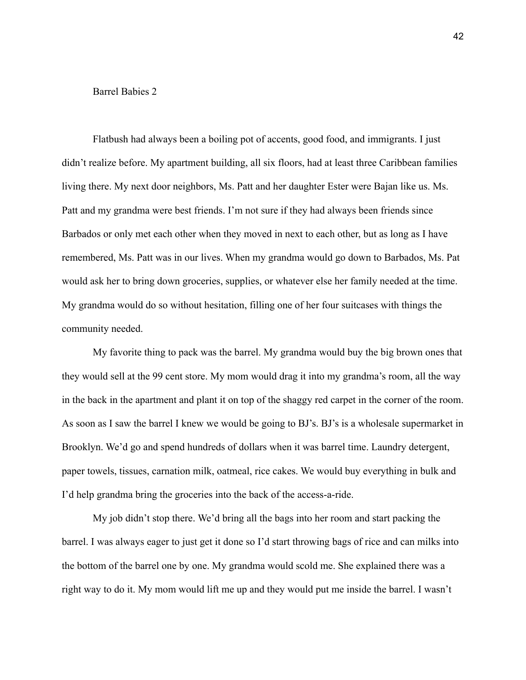### Barrel Babies 2

Flatbush had always been a boiling pot of accents, good food, and immigrants. I just didn't realize before. My apartment building, all six floors, had at least three Caribbean families living there. My next door neighbors, Ms. Patt and her daughter Ester were Bajan like us. Ms. Patt and my grandma were best friends. I'm not sure if they had always been friends since Barbados or only met each other when they moved in next to each other, but as long as I have remembered, Ms. Patt was in our lives. When my grandma would go down to Barbados, Ms. Pat would ask her to bring down groceries, supplies, or whatever else her family needed at the time. My grandma would do so without hesitation, filling one of her four suitcases with things the community needed.

My favorite thing to pack was the barrel. My grandma would buy the big brown ones that they would sell at the 99 cent store. My mom would drag it into my grandma's room, all the way in the back in the apartment and plant it on top of the shaggy red carpet in the corner of the room. As soon as I saw the barrel I knew we would be going to BJ's. BJ's is a wholesale supermarket in Brooklyn. We'd go and spend hundreds of dollars when it was barrel time. Laundry detergent, paper towels, tissues, carnation milk, oatmeal, rice cakes. We would buy everything in bulk and I'd help grandma bring the groceries into the back of the access-a-ride.

My job didn't stop there. We'd bring all the bags into her room and start packing the barrel. I was always eager to just get it done so I'd start throwing bags of rice and can milks into the bottom of the barrel one by one. My grandma would scold me. She explained there was a right way to do it. My mom would lift me up and they would put me inside the barrel. I wasn't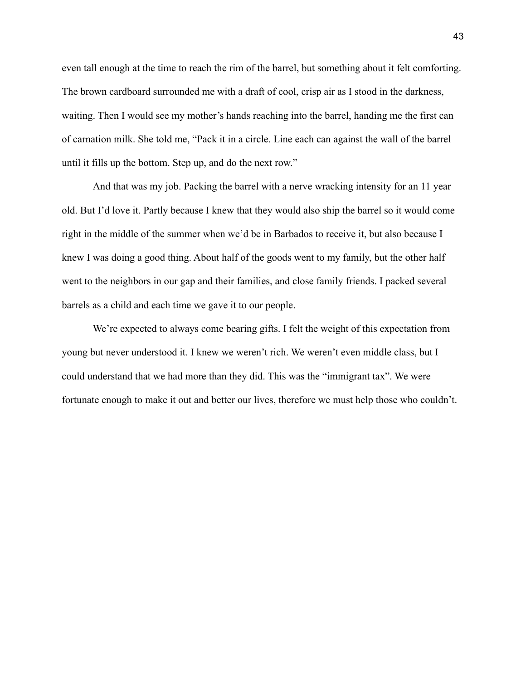even tall enough at the time to reach the rim of the barrel, but something about it felt comforting. The brown cardboard surrounded me with a draft of cool, crisp air as I stood in the darkness, waiting. Then I would see my mother's hands reaching into the barrel, handing me the first can of carnation milk. She told me, "Pack it in a circle. Line each can against the wall of the barrel until it fills up the bottom. Step up, and do the next row."

And that was my job. Packing the barrel with a nerve wracking intensity for an 11 year old. But I'd love it. Partly because I knew that they would also ship the barrel so it would come right in the middle of the summer when we'd be in Barbados to receive it, but also because I knew I was doing a good thing. About half of the goods went to my family, but the other half went to the neighbors in our gap and their families, and close family friends. I packed several barrels as a child and each time we gave it to our people.

We're expected to always come bearing gifts. I felt the weight of this expectation from young but never understood it. I knew we weren't rich. We weren't even middle class, but I could understand that we had more than they did. This was the "immigrant tax". We were fortunate enough to make it out and better our lives, therefore we must help those who couldn't.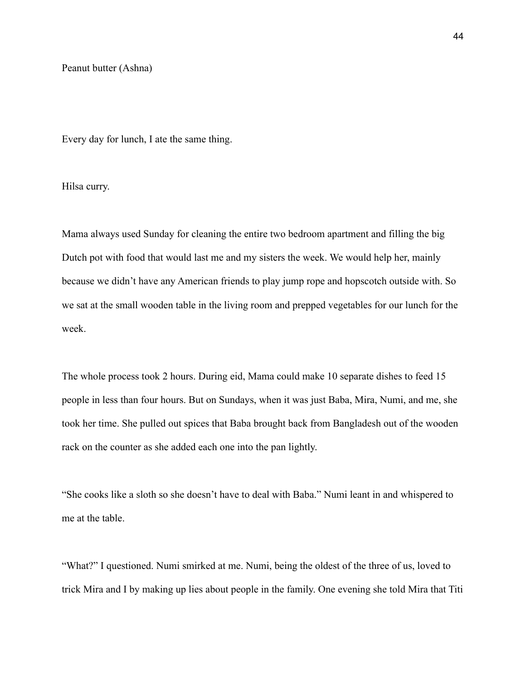Every day for lunch, I ate the same thing.

Hilsa curry.

Mama always used Sunday for cleaning the entire two bedroom apartment and filling the big Dutch pot with food that would last me and my sisters the week. We would help her, mainly because we didn't have any American friends to play jump rope and hopscotch outside with. So we sat at the small wooden table in the living room and prepped vegetables for our lunch for the week.

The whole process took 2 hours. During eid, Mama could make 10 separate dishes to feed 15 people in less than four hours. But on Sundays, when it was just Baba, Mira, Numi, and me, she took her time. She pulled out spices that Baba brought back from Bangladesh out of the wooden rack on the counter as she added each one into the pan lightly.

"She cooks like a sloth so she doesn't have to deal with Baba." Numi leant in and whispered to me at the table.

"What?" I questioned. Numi smirked at me. Numi, being the oldest of the three of us, loved to trick Mira and I by making up lies about people in the family. One evening she told Mira that Titi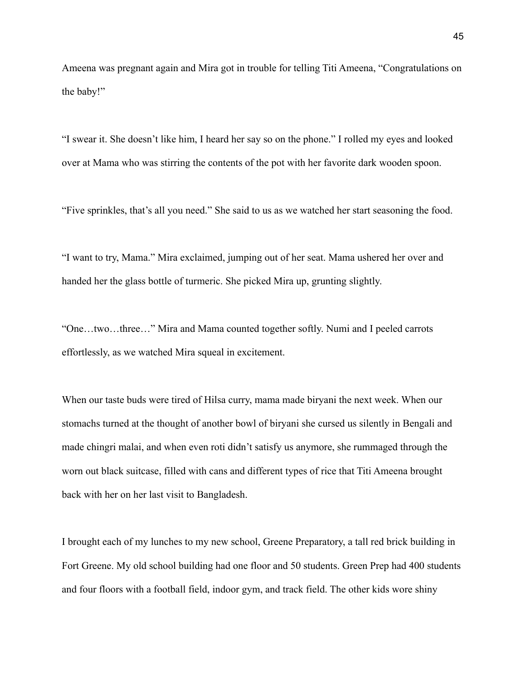Ameena was pregnant again and Mira got in trouble for telling Titi Ameena, "Congratulations on the baby!"

"I swear it. She doesn't like him, I heard her say so on the phone." I rolled my eyes and looked over at Mama who was stirring the contents of the pot with her favorite dark wooden spoon.

"Five sprinkles, that's all you need." She said to us as we watched her start seasoning the food.

"I want to try, Mama." Mira exclaimed, jumping out of her seat. Mama ushered her over and handed her the glass bottle of turmeric. She picked Mira up, grunting slightly.

"One…two…three…" Mira and Mama counted together softly. Numi and I peeled carrots effortlessly, as we watched Mira squeal in excitement.

When our taste buds were tired of Hilsa curry, mama made biryani the next week. When our stomachs turned at the thought of another bowl of biryani she cursed us silently in Bengali and made chingri malai, and when even roti didn't satisfy us anymore, she rummaged through the worn out black suitcase, filled with cans and different types of rice that Titi Ameena brought back with her on her last visit to Bangladesh.

I brought each of my lunches to my new school, Greene Preparatory, a tall red brick building in Fort Greene. My old school building had one floor and 50 students. Green Prep had 400 students and four floors with a football field, indoor gym, and track field. The other kids wore shiny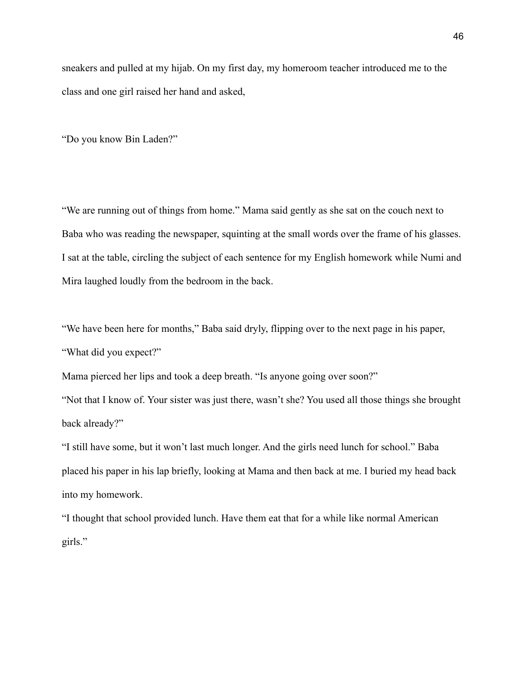sneakers and pulled at my hijab. On my first day, my homeroom teacher introduced me to the class and one girl raised her hand and asked,

"Do you know Bin Laden?"

"We are running out of things from home." Mama said gently as she sat on the couch next to Baba who was reading the newspaper, squinting at the small words over the frame of his glasses. I sat at the table, circling the subject of each sentence for my English homework while Numi and Mira laughed loudly from the bedroom in the back.

"We have been here for months," Baba said dryly, flipping over to the next page in his paper, "What did you expect?"

Mama pierced her lips and took a deep breath. "Is anyone going over soon?"

"Not that I know of. Your sister was just there, wasn't she? You used all those things she brought back already?"

"I still have some, but it won't last much longer. And the girls need lunch for school." Baba placed his paper in his lap briefly, looking at Mama and then back at me. I buried my head back into my homework.

"I thought that school provided lunch. Have them eat that for a while like normal American girls."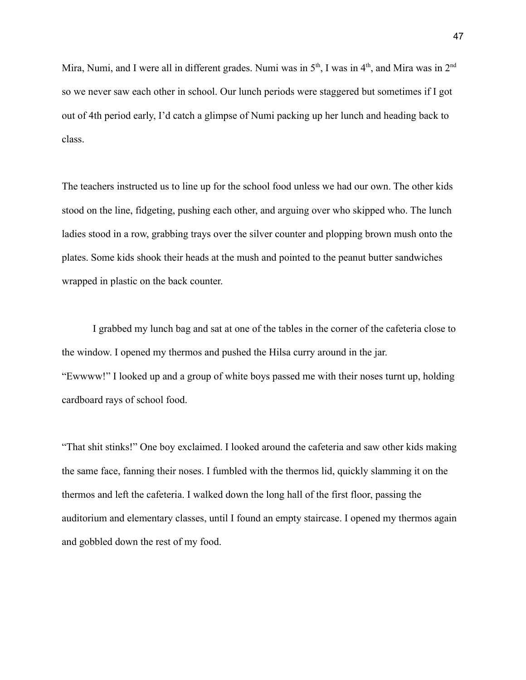Mira, Numi, and I were all in different grades. Numi was in  $5<sup>th</sup>$ , I was in  $4<sup>th</sup>$ , and Mira was in  $2<sup>nd</sup>$ so we never saw each other in school. Our lunch periods were staggered but sometimes if I got out of 4th period early, I'd catch a glimpse of Numi packing up her lunch and heading back to class.

The teachers instructed us to line up for the school food unless we had our own. The other kids stood on the line, fidgeting, pushing each other, and arguing over who skipped who. The lunch ladies stood in a row, grabbing trays over the silver counter and plopping brown mush onto the plates. Some kids shook their heads at the mush and pointed to the peanut butter sandwiches wrapped in plastic on the back counter.

I grabbed my lunch bag and sat at one of the tables in the corner of the cafeteria close to the window. I opened my thermos and pushed the Hilsa curry around in the jar. "Ewwww!" I looked up and a group of white boys passed me with their noses turnt up, holding cardboard rays of school food.

"That shit stinks!" One boy exclaimed. I looked around the cafeteria and saw other kids making the same face, fanning their noses. I fumbled with the thermos lid, quickly slamming it on the thermos and left the cafeteria. I walked down the long hall of the first floor, passing the auditorium and elementary classes, until I found an empty staircase. I opened my thermos again and gobbled down the rest of my food.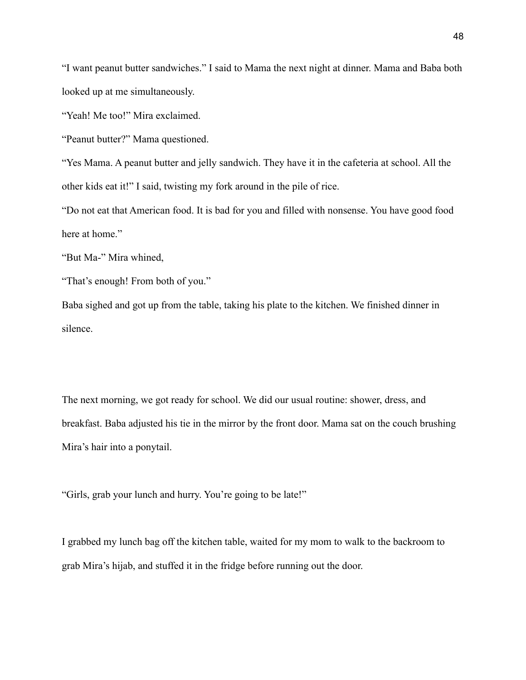"I want peanut butter sandwiches." I said to Mama the next night at dinner. Mama and Baba both looked up at me simultaneously.

"Yeah! Me too!" Mira exclaimed.

"Peanut butter?" Mama questioned.

"Yes Mama. A peanut butter and jelly sandwich. They have it in the cafeteria at school. All the other kids eat it!" I said, twisting my fork around in the pile of rice.

"Do not eat that American food. It is bad for you and filled with nonsense. You have good food here at home."

"But Ma-" Mira whined,

"That's enough! From both of you."

Baba sighed and got up from the table, taking his plate to the kitchen. We finished dinner in silence.

The next morning, we got ready for school. We did our usual routine: shower, dress, and breakfast. Baba adjusted his tie in the mirror by the front door. Mama sat on the couch brushing Mira's hair into a ponytail.

"Girls, grab your lunch and hurry. You're going to be late!"

I grabbed my lunch bag off the kitchen table, waited for my mom to walk to the backroom to grab Mira's hijab, and stuffed it in the fridge before running out the door.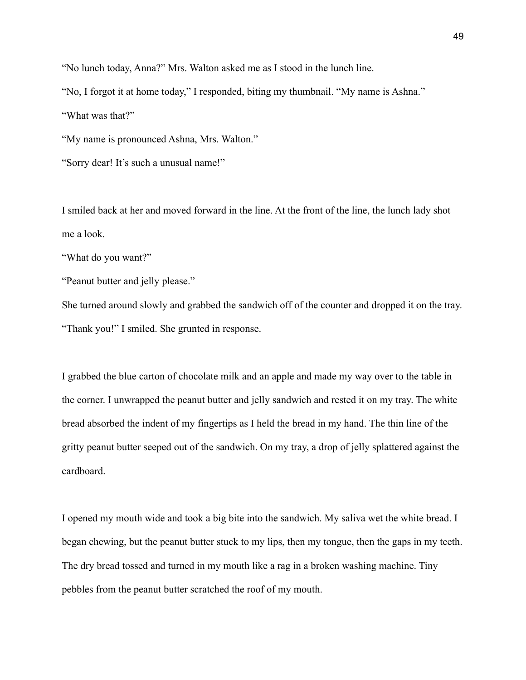"No lunch today, Anna?" Mrs. Walton asked me as I stood in the lunch line.

"No, I forgot it at home today," I responded, biting my thumbnail. "My name is Ashna."

"What was that?"

"My name is pronounced Ashna, Mrs. Walton."

"Sorry dear! It's such a unusual name!"

I smiled back at her and moved forward in the line. At the front of the line, the lunch lady shot me a look.

"What do you want?"

"Peanut butter and jelly please."

She turned around slowly and grabbed the sandwich off of the counter and dropped it on the tray. "Thank you!" I smiled. She grunted in response.

I grabbed the blue carton of chocolate milk and an apple and made my way over to the table in the corner. I unwrapped the peanut butter and jelly sandwich and rested it on my tray. The white bread absorbed the indent of my fingertips as I held the bread in my hand. The thin line of the gritty peanut butter seeped out of the sandwich. On my tray, a drop of jelly splattered against the cardboard.

I opened my mouth wide and took a big bite into the sandwich. My saliva wet the white bread. I began chewing, but the peanut butter stuck to my lips, then my tongue, then the gaps in my teeth. The dry bread tossed and turned in my mouth like a rag in a broken washing machine. Tiny pebbles from the peanut butter scratched the roof of my mouth.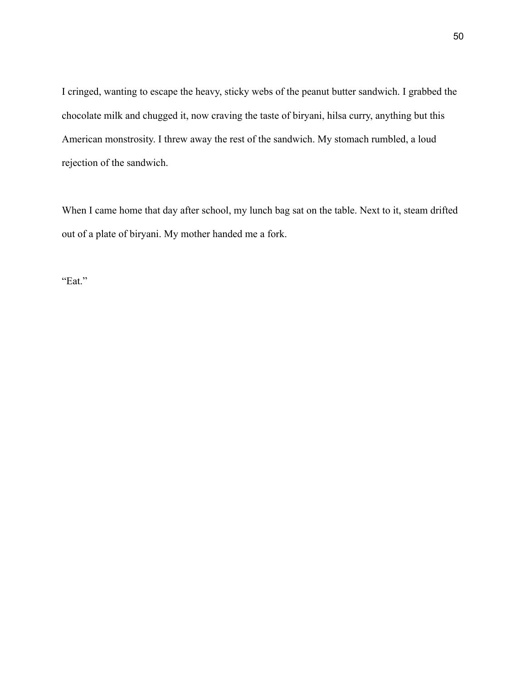I cringed, wanting to escape the heavy, sticky webs of the peanut butter sandwich. I grabbed the chocolate milk and chugged it, now craving the taste of biryani, hilsa curry, anything but this American monstrosity. I threw away the rest of the sandwich. My stomach rumbled, a loud rejection of the sandwich.

When I came home that day after school, my lunch bag sat on the table. Next to it, steam drifted out of a plate of biryani. My mother handed me a fork.

"Eat."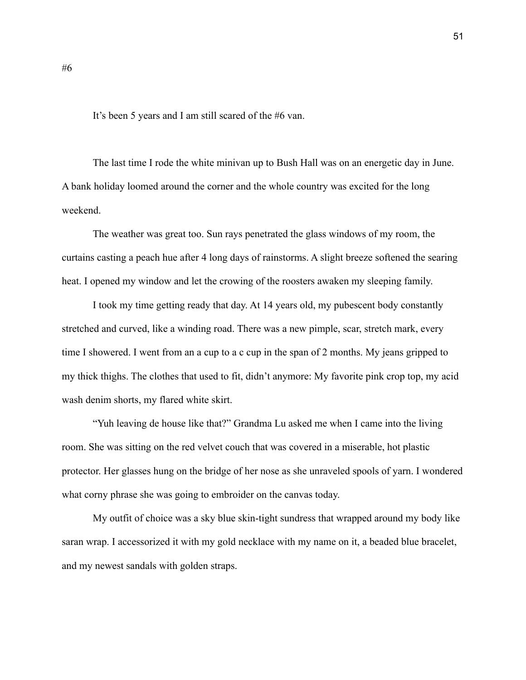It's been 5 years and I am still scared of the #6 van.

The last time I rode the white minivan up to Bush Hall was on an energetic day in June. A bank holiday loomed around the corner and the whole country was excited for the long weekend.

The weather was great too. Sun rays penetrated the glass windows of my room, the curtains casting a peach hue after 4 long days of rainstorms. A slight breeze softened the searing heat. I opened my window and let the crowing of the roosters awaken my sleeping family.

I took my time getting ready that day. At 14 years old, my pubescent body constantly stretched and curved, like a winding road. There was a new pimple, scar, stretch mark, every time I showered. I went from an a cup to a c cup in the span of 2 months. My jeans gripped to my thick thighs. The clothes that used to fit, didn't anymore: My favorite pink crop top, my acid wash denim shorts, my flared white skirt.

"Yuh leaving de house like that?" Grandma Lu asked me when I came into the living room. She was sitting on the red velvet couch that was covered in a miserable, hot plastic protector. Her glasses hung on the bridge of her nose as she unraveled spools of yarn. I wondered what corny phrase she was going to embroider on the canvas today.

My outfit of choice was a sky blue skin-tight sundress that wrapped around my body like saran wrap. I accessorized it with my gold necklace with my name on it, a beaded blue bracelet, and my newest sandals with golden straps.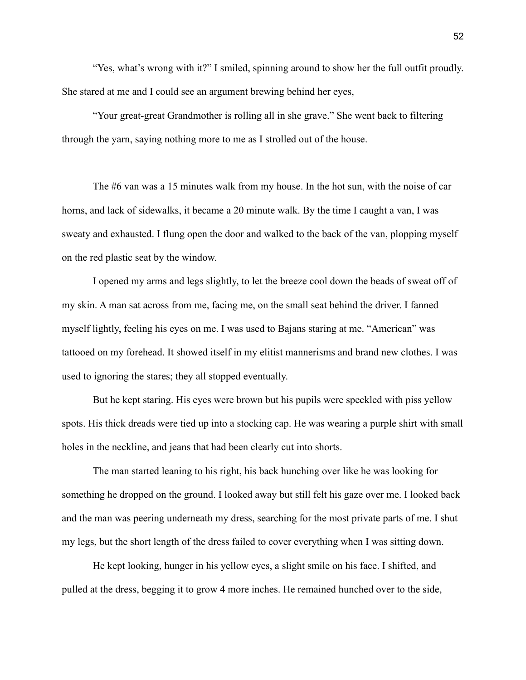"Yes, what's wrong with it?" I smiled, spinning around to show her the full outfit proudly. She stared at me and I could see an argument brewing behind her eyes,

"Your great-great Grandmother is rolling all in she grave." She went back to filtering through the yarn, saying nothing more to me as I strolled out of the house.

The #6 van was a 15 minutes walk from my house. In the hot sun, with the noise of car horns, and lack of sidewalks, it became a 20 minute walk. By the time I caught a van, I was sweaty and exhausted. I flung open the door and walked to the back of the van, plopping myself on the red plastic seat by the window.

I opened my arms and legs slightly, to let the breeze cool down the beads of sweat off of my skin. A man sat across from me, facing me, on the small seat behind the driver. I fanned myself lightly, feeling his eyes on me. I was used to Bajans staring at me. "American" was tattooed on my forehead. It showed itself in my elitist mannerisms and brand new clothes. I was used to ignoring the stares; they all stopped eventually.

But he kept staring. His eyes were brown but his pupils were speckled with piss yellow spots. His thick dreads were tied up into a stocking cap. He was wearing a purple shirt with small holes in the neckline, and jeans that had been clearly cut into shorts.

The man started leaning to his right, his back hunching over like he was looking for something he dropped on the ground. I looked away but still felt his gaze over me. I looked back and the man was peering underneath my dress, searching for the most private parts of me. I shut my legs, but the short length of the dress failed to cover everything when I was sitting down.

He kept looking, hunger in his yellow eyes, a slight smile on his face. I shifted, and pulled at the dress, begging it to grow 4 more inches. He remained hunched over to the side,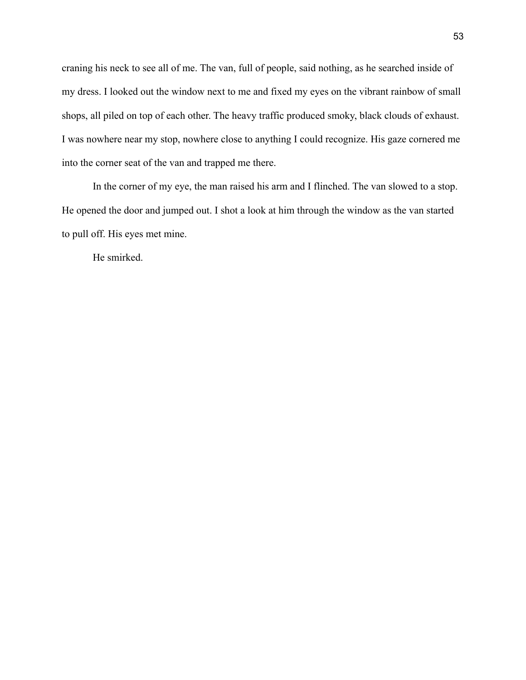craning his neck to see all of me. The van, full of people, said nothing, as he searched inside of my dress. I looked out the window next to me and fixed my eyes on the vibrant rainbow of small shops, all piled on top of each other. The heavy traffic produced smoky, black clouds of exhaust. I was nowhere near my stop, nowhere close to anything I could recognize. His gaze cornered me into the corner seat of the van and trapped me there.

In the corner of my eye, the man raised his arm and I flinched. The van slowed to a stop. He opened the door and jumped out. I shot a look at him through the window as the van started to pull off. His eyes met mine.

He smirked.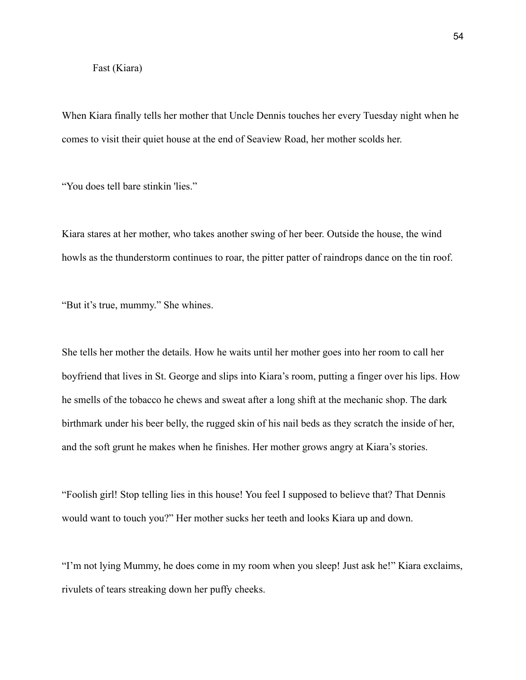#### Fast (Kiara)

When Kiara finally tells her mother that Uncle Dennis touches her every Tuesday night when he comes to visit their quiet house at the end of Seaview Road, her mother scolds her.

"You does tell bare stinkin 'lies."

Kiara stares at her mother, who takes another swing of her beer. Outside the house, the wind howls as the thunderstorm continues to roar, the pitter patter of raindrops dance on the tin roof.

"But it's true, mummy." She whines.

She tells her mother the details. How he waits until her mother goes into her room to call her boyfriend that lives in St. George and slips into Kiara's room, putting a finger over his lips. How he smells of the tobacco he chews and sweat after a long shift at the mechanic shop. The dark birthmark under his beer belly, the rugged skin of his nail beds as they scratch the inside of her, and the soft grunt he makes when he finishes. Her mother grows angry at Kiara's stories.

"Foolish girl! Stop telling lies in this house! You feel I supposed to believe that? That Dennis would want to touch you?" Her mother sucks her teeth and looks Kiara up and down.

"I'm not lying Mummy, he does come in my room when you sleep! Just ask he!" Kiara exclaims, rivulets of tears streaking down her puffy cheeks.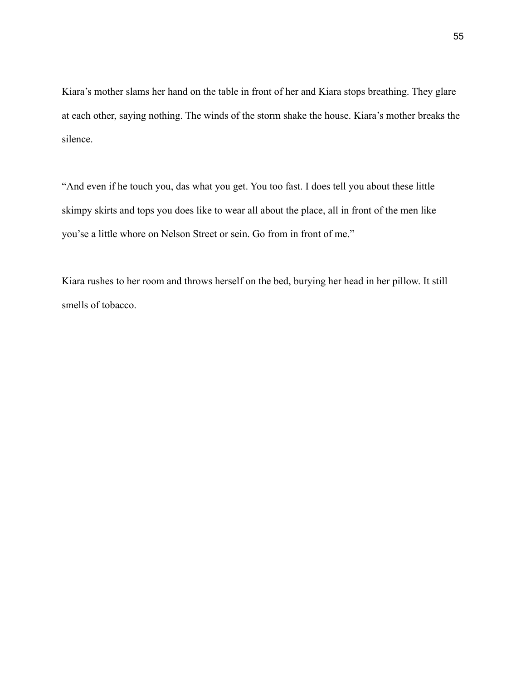Kiara's mother slams her hand on the table in front of her and Kiara stops breathing. They glare at each other, saying nothing. The winds of the storm shake the house. Kiara's mother breaks the silence.

"And even if he touch you, das what you get. You too fast. I does tell you about these little skimpy skirts and tops you does like to wear all about the place, all in front of the men like you'se a little whore on Nelson Street or sein. Go from in front of me."

Kiara rushes to her room and throws herself on the bed, burying her head in her pillow. It still smells of tobacco.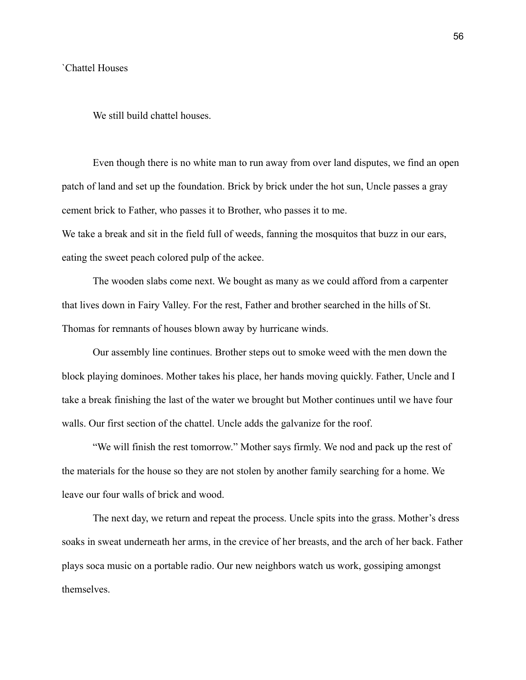#### `Chattel Houses

We still build chattel houses.

Even though there is no white man to run away from over land disputes, we find an open patch of land and set up the foundation. Brick by brick under the hot sun, Uncle passes a gray cement brick to Father, who passes it to Brother, who passes it to me.

We take a break and sit in the field full of weeds, fanning the mosquitos that buzz in our ears, eating the sweet peach colored pulp of the ackee.

The wooden slabs come next. We bought as many as we could afford from a carpenter that lives down in Fairy Valley. For the rest, Father and brother searched in the hills of St. Thomas for remnants of houses blown away by hurricane winds.

Our assembly line continues. Brother steps out to smoke weed with the men down the block playing dominoes. Mother takes his place, her hands moving quickly. Father, Uncle and I take a break finishing the last of the water we brought but Mother continues until we have four walls. Our first section of the chattel. Uncle adds the galvanize for the roof.

"We will finish the rest tomorrow." Mother says firmly. We nod and pack up the rest of the materials for the house so they are not stolen by another family searching for a home. We leave our four walls of brick and wood.

The next day, we return and repeat the process. Uncle spits into the grass. Mother's dress soaks in sweat underneath her arms, in the crevice of her breasts, and the arch of her back. Father plays soca music on a portable radio. Our new neighbors watch us work, gossiping amongst themselves.